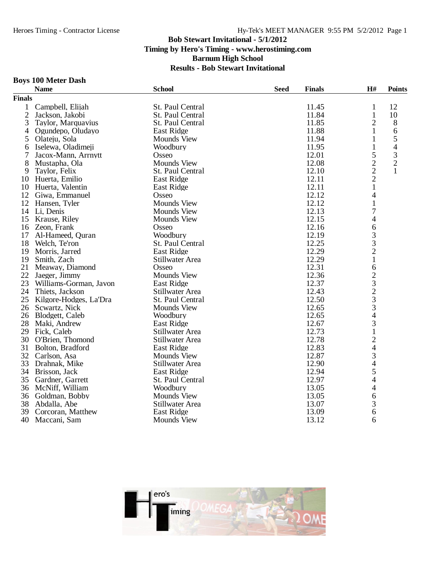#### **Boys 100 Meter Dash**

|               | <b>Name</b>               | <b>School</b>      | <b>Seed</b><br><b>Finals</b> | H#                             | <b>Points</b> |
|---------------|---------------------------|--------------------|------------------------------|--------------------------------|---------------|
| <b>Finals</b> |                           |                    |                              |                                |               |
| $\mathbf{1}$  | Campbell, Elijah          | St. Paul Central   | 11.45                        | $\mathbf{1}$                   | 12            |
| 2             | Jackson, Jakobi           | St. Paul Central   | 11.84                        | $\mathbf{1}$                   | 10            |
| 3             | Taylor, Marquavius        | St. Paul Central   | 11.85                        | $\overline{2}$                 | 8             |
| 4             | Ogundepo, Oludayo         | East Ridge         | 11.88                        | $\mathbf{1}$                   | 6             |
| 5             | Olateju, Sola             | <b>Mounds View</b> | 11.94                        | 1                              | 5             |
| 6             | Iselewa, Oladimeji        | Woodbury           | 11.95                        | 1                              | 4             |
|               | Jacox-Mann, Arrnytt       | Osseo              | 12.01                        | 5                              | $\frac{3}{2}$ |
| 8             | Mustapha, Ola             | <b>Mounds View</b> | 12.08                        | $\overline{c}$                 |               |
| 9             | Taylor, Felix             | St. Paul Central   | 12.10                        |                                | $\mathbf{1}$  |
| 10            | Huerta, Emilio            | East Ridge         | 12.11                        | $\frac{2}{1}$                  |               |
| 10            | Huerta, Valentin          | <b>East Ridge</b>  | 12.11                        |                                |               |
| 12            | Giwa, Emmanuel            | Osseo              | 12.12                        | $\overline{\mathcal{L}}$       |               |
| 12            | Hansen, Tyler             | <b>Mounds View</b> | 12.12                        | $\mathbf{1}$                   |               |
|               | 14 Li, Denis              | <b>Mounds View</b> | 12.13                        | $\overline{7}$                 |               |
| 15            | Krause, Riley             | <b>Mounds View</b> | 12.15                        | 4                              |               |
| 16            | Zeon, Frank               | Osseo              | 12.16                        | 6                              |               |
| 17            | Al-Hameed, Quran          | Woodbury           | 12.19                        | 3                              |               |
| 18            | Welch, Te'ron             | St. Paul Central   | 12.25                        | 3                              |               |
| 19            | Morris, Jarred            | <b>East Ridge</b>  | 12.29                        | $\frac{2}{1}$                  |               |
| 19            | Smith, Zach               | Stillwater Area    | 12.29                        |                                |               |
| 21            | Meaway, Diamond           | Osseo              | 12.31                        | 6                              |               |
| 22            | Jaeger, Jimmy             | <b>Mounds View</b> | 12.36                        |                                |               |
|               | 23 Williams-Gorman, Javon | East Ridge         | 12.37                        | $\frac{2}{3}$<br>$\frac{3}{3}$ |               |
| 24            | Thiets, Jackson           | Stillwater Area    | 12.43                        |                                |               |
| 25            | Kilgore-Hodges, La'Dra    | St. Paul Central   | 12.50                        |                                |               |
| 26            | Scwartz, Nick             | <b>Mounds View</b> | 12.65                        |                                |               |
|               | 26 Blodgett, Caleb        | Woodbury           | 12.65                        | $\overline{\mathcal{L}}$       |               |
| 28            | Maki, Andrew              | East Ridge         | 12.67                        | 3                              |               |
| 29            | Fick, Caleb               | Stillwater Area    | 12.73                        | $\mathbf{1}$                   |               |
| 30            | O'Brien, Thomond          | Stillwater Area    | 12.78                        | $\overline{c}$                 |               |
| 31            | Bolton, Bradford          | <b>East Ridge</b>  | 12.83                        |                                |               |
|               | 32 Carlson, Asa           | <b>Mounds View</b> | 12.87                        |                                |               |
| 33            | Drahnak, Mike             | Stillwater Area    | 12.90                        | $\frac{4}{3}$<br>4 5           |               |
| 34            | Brisson, Jack             | East Ridge         | 12.94                        |                                |               |
| 35            | Gardner, Garrett          | St. Paul Central   | 12.97                        | $\overline{4}$                 |               |
|               | 36 McNiff, William        | Woodbury           | 13.05                        | $\overline{4}$                 |               |
| 36            | Goldman, Bobby            | <b>Mounds View</b> | 13.05                        | 6                              |               |
| 38            | Abdalla, Abe              | Stillwater Area    | 13.07                        | 3                              |               |
| 39            | Corcoran, Matthew         | <b>East Ridge</b>  | 13.09                        | 6                              |               |
| 40            | Maccani, Sam              | <b>Mounds View</b> | 13.12                        | 6                              |               |

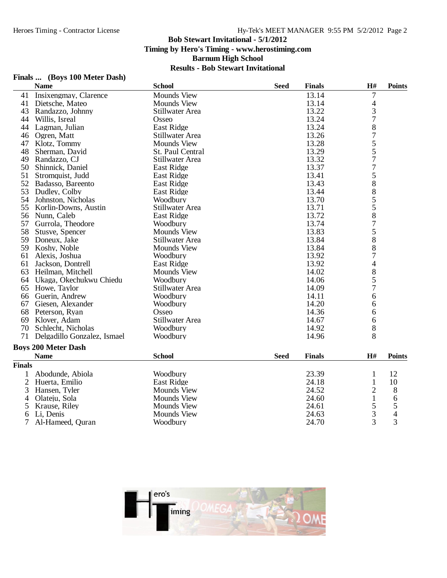|                | Finals  (DOys TOO MICICI Dasn)<br><b>Name</b> | <b>School</b>          | <b>Seed</b> | <b>Finals</b> | H#             | <b>Points</b> |
|----------------|-----------------------------------------------|------------------------|-------------|---------------|----------------|---------------|
| 41             | Insixengmay, Clarence                         | <b>Mounds View</b>     |             | 13.14         | 7              |               |
| 41             | Dietsche, Mateo                               | <b>Mounds View</b>     |             | 13.14         | 4              |               |
| 43             | Randazzo, Johnny                              | Stillwater Area        |             | 13.22         | $\frac{3}{7}$  |               |
| 44             | Willis, Isreal                                | Osseo                  |             | 13.24         |                |               |
| 44             | Lagman, Julian                                | East Ridge             |             | 13.24         | $\frac{8}{7}$  |               |
| 46             | Ogren, Matt                                   | Stillwater Area        |             | 13.26         |                |               |
|                | 47 Klotz, Tommy                               | <b>Mounds View</b>     |             | 13.28         | 5              |               |
| 48             | Sherman, David                                | St. Paul Central       |             | 13.29         | $\frac{5}{7}$  |               |
| 49             | Randazzo, CJ                                  | Stillwater Area        |             | 13.32         |                |               |
| 50             | Shinnick, Daniel                              | East Ridge             |             | 13.37         | $\overline{7}$ |               |
| 51             | Stromquist, Judd                              | East Ridge             |             | 13.41         | 5              |               |
|                | 52 Badasso, Bareento                          | <b>East Ridge</b>      |             | 13.43         | 8              |               |
| 53             | Dudley, Colby                                 | East Ridge             |             | 13.44         |                |               |
| 54             | Johnston, Nicholas                            | Woodbury               |             | 13.70         |                |               |
| 55             | Korlin-Downs, Austin                          | Stillwater Area        |             | 13.71         | 85587          |               |
| 56             | Nunn, Caleb                                   | East Ridge             |             | 13.72         |                |               |
| 57             | Gurrola, Theodore                             | Woodbury               |             | 13.74         |                |               |
| 58             | Stusve, Spencer                               | <b>Mounds View</b>     |             | 13.83         | 5              |               |
| 59             | Doneux, Jake                                  | Stillwater Area        |             | 13.84         | 8              |               |
| 59             | Koshy, Noble                                  | <b>Mounds View</b>     |             | 13.84         | 8              |               |
| 61             | Alexis, Joshua                                | Woodbury               |             | 13.92         | $\overline{7}$ |               |
| 61             | Jackson, Dontrell                             | East Ridge             |             | 13.92         | 4              |               |
| 63             | Heilman, Mitchell                             | <b>Mounds View</b>     |             | 14.02         |                |               |
| 64             | Ukaga, Okechukwu Chiedu                       | Woodbury               |             | 14.06         | $\frac{8}{5}$  |               |
| 65             | Howe, Taylor                                  | Stillwater Area        |             | 14.09         | $\overline{7}$ |               |
|                | 66 Guerin, Andrew                             | Woodbury               |             | 14.11         | 6              |               |
|                | 67 Giesen, Alexander                          | Woodbury               |             | 14.20         | 6              |               |
| 68             | Peterson, Ryan                                | Osseo                  |             | 14.36         | 6              |               |
| 69             | Klover, Adam                                  | <b>Stillwater Area</b> |             | 14.67         | 6              |               |
| 70             | Schlecht, Nicholas                            | Woodbury               |             | 14.92         | 8              |               |
| 71             | Delgadillo Gonzalez, Ismael                   | Woodbury               |             | 14.96         | 8              |               |
|                | <b>Boys 200 Meter Dash</b>                    |                        |             |               |                |               |
|                | <b>Name</b>                                   | <b>School</b>          | <b>Seed</b> | <b>Finals</b> | H#             | <b>Points</b> |
| <b>Finals</b>  |                                               |                        |             |               |                |               |
| 1              | Abodunde, Abiola                              | Woodbury               |             | 23.39         | $\mathbf{1}$   | 12            |
| $\overline{c}$ | Huerta, Emilio                                | East Ridge             |             | 24.18         | $\mathbf{1}$   | 10            |
| 3              | Hansen, Tyler                                 | <b>Mounds View</b>     |             | 24.52         | $\overline{c}$ | 8             |
| 4              | Olateju, Sola                                 | <b>Mounds View</b>     |             | 24.60         | $\mathbf{1}$   | 6             |
| 5              | Krause, Riley                                 | <b>Mounds View</b>     |             | 24.61         | 5              | 5             |
| 6              | Li, Denis                                     | <b>Mounds View</b>     |             | 24.63         | $\overline{3}$ | 4             |
| 7              | Al-Hameed, Quran                              | Woodbury               |             | 24.70         | 3              | 3             |



# **Finals ... (Boys 100 Meter Dash)**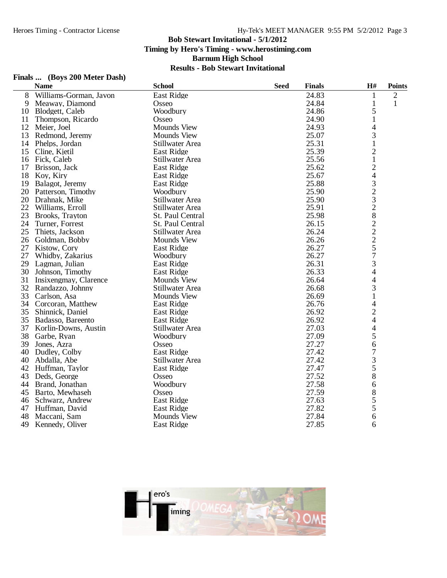# **Finals ... (Boys 200 Meter Dash)**

|                        |                                                                                                        |               |             |                                 | <b>Points</b>                                                                                                                                                                                                                                                                             |
|------------------------|--------------------------------------------------------------------------------------------------------|---------------|-------------|---------------------------------|-------------------------------------------------------------------------------------------------------------------------------------------------------------------------------------------------------------------------------------------------------------------------------------------|
| Williams-Gorman, Javon | East Ridge                                                                                             |               | 24.83       | $\mathbf{1}$                    | $\overline{2}$                                                                                                                                                                                                                                                                            |
| Meaway, Diamond        | Osseo                                                                                                  |               | 24.84       | 1                               | 1                                                                                                                                                                                                                                                                                         |
| Blodgett, Caleb        | Woodbury                                                                                               |               | 24.86       | 5                               |                                                                                                                                                                                                                                                                                           |
| Thompson, Ricardo      | Osseo                                                                                                  |               | 24.90       | $\mathbf{1}$                    |                                                                                                                                                                                                                                                                                           |
| Meier, Joel            | <b>Mounds View</b>                                                                                     |               | 24.93       |                                 |                                                                                                                                                                                                                                                                                           |
| Redmond, Jeremy        | <b>Mounds View</b>                                                                                     |               | 25.07       | 3                               |                                                                                                                                                                                                                                                                                           |
| Phelps, Jordan         | Stillwater Area                                                                                        |               | 25.31       | $\mathbf{1}$                    |                                                                                                                                                                                                                                                                                           |
|                        | <b>East Ridge</b>                                                                                      |               | 25.39       |                                 |                                                                                                                                                                                                                                                                                           |
| Fick, Caleb            | Stillwater Area                                                                                        |               | 25.56       | $\mathbf{1}$                    |                                                                                                                                                                                                                                                                                           |
| Brisson, Jack          | <b>East Ridge</b>                                                                                      |               | 25.62       | $\overline{c}$                  |                                                                                                                                                                                                                                                                                           |
| Koy, Kiry              | <b>East Ridge</b>                                                                                      |               | 25.67       |                                 |                                                                                                                                                                                                                                                                                           |
| Balagot, Jeremy        | East Ridge                                                                                             |               | 25.88       |                                 |                                                                                                                                                                                                                                                                                           |
| Patterson, Timothy     | Woodbury                                                                                               |               | 25.90       |                                 |                                                                                                                                                                                                                                                                                           |
| Drahnak, Mike          | Stillwater Area                                                                                        |               | 25.90       |                                 |                                                                                                                                                                                                                                                                                           |
| Williams, Erroll       | Stillwater Area                                                                                        |               | 25.91       |                                 |                                                                                                                                                                                                                                                                                           |
| Brooks, Trayton        | St. Paul Central                                                                                       |               | 25.98       |                                 |                                                                                                                                                                                                                                                                                           |
| Turner, Forrest        | St. Paul Central                                                                                       |               | 26.15       |                                 |                                                                                                                                                                                                                                                                                           |
|                        | Stillwater Area                                                                                        |               | 26.24       |                                 |                                                                                                                                                                                                                                                                                           |
| Goldman, Bobby         | <b>Mounds View</b>                                                                                     |               | 26.26       |                                 |                                                                                                                                                                                                                                                                                           |
|                        | <b>East Ridge</b>                                                                                      |               | 26.27       |                                 |                                                                                                                                                                                                                                                                                           |
|                        | Woodbury                                                                                               |               | 26.27       |                                 |                                                                                                                                                                                                                                                                                           |
| Lagman, Julian         | East Ridge                                                                                             |               | 26.31       | 3                               |                                                                                                                                                                                                                                                                                           |
| Johnson, Timothy       | East Ridge                                                                                             |               | 26.33       | 4                               |                                                                                                                                                                                                                                                                                           |
| Insixengmay, Clarence  | <b>Mounds View</b>                                                                                     |               | 26.64       | 4                               |                                                                                                                                                                                                                                                                                           |
| Randazzo, Johnny       | Stillwater Area                                                                                        |               | 26.68       | 3                               |                                                                                                                                                                                                                                                                                           |
| Carlson, Asa           | <b>Mounds View</b>                                                                                     |               | 26.69       | $\mathbf{1}$                    |                                                                                                                                                                                                                                                                                           |
| Corcoran, Matthew      | East Ridge                                                                                             |               | 26.76       | 4                               |                                                                                                                                                                                                                                                                                           |
| Shinnick, Daniel       | <b>East Ridge</b>                                                                                      |               | 26.92       |                                 |                                                                                                                                                                                                                                                                                           |
| Badasso, Bareento      | <b>East Ridge</b>                                                                                      |               | 26.92       | 4                               |                                                                                                                                                                                                                                                                                           |
| Korlin-Downs, Austin   | Stillwater Area                                                                                        |               | 27.03       |                                 |                                                                                                                                                                                                                                                                                           |
| Garbe, Ryan            | Woodbury                                                                                               |               |             |                                 |                                                                                                                                                                                                                                                                                           |
| Jones, Azra            | Osseo                                                                                                  |               | 27.27       | 6                               |                                                                                                                                                                                                                                                                                           |
| Dudley, Colby          | <b>East Ridge</b>                                                                                      |               | 27.42       |                                 |                                                                                                                                                                                                                                                                                           |
| Abdalla, Abe           | Stillwater Area                                                                                        |               | 27.42       |                                 |                                                                                                                                                                                                                                                                                           |
|                        | East Ridge                                                                                             |               | 27.47       | 5                               |                                                                                                                                                                                                                                                                                           |
| Deds, George           | Osseo                                                                                                  |               | 27.52       | 8                               |                                                                                                                                                                                                                                                                                           |
| Brand, Jonathan        | Woodbury                                                                                               |               |             | 6                               |                                                                                                                                                                                                                                                                                           |
| Barto, Mewhaseh        | Osseo                                                                                                  |               | 27.59       |                                 |                                                                                                                                                                                                                                                                                           |
| Schwarz, Andrew        | East Ridge                                                                                             |               | 27.63       |                                 |                                                                                                                                                                                                                                                                                           |
| Huffman, David         | <b>East Ridge</b>                                                                                      |               | 27.82       |                                 |                                                                                                                                                                                                                                                                                           |
| Maccani, Sam           | <b>Mounds View</b>                                                                                     |               | 27.84       |                                 |                                                                                                                                                                                                                                                                                           |
| Kennedy, Oliver        | East Ridge                                                                                             |               | 27.85       | 6                               |                                                                                                                                                                                                                                                                                           |
|                        | <b>Name</b><br>Cline, Kjetil<br>Thiets, Jackson<br>Kistow, Cory<br>Whidby, Zakarius<br>Huffman, Taylor | <b>School</b> | <b>Seed</b> | <b>Finals</b><br>27.09<br>27.58 | H#<br>4<br>$\overline{c}$<br>$\overline{\mathcal{L}}$<br>$\begin{array}{c} 3 \\ 2 \\ 3 \end{array}$<br>$\overline{c}$<br>8<br>$\frac{2}{2}$<br>$\overline{c}$<br>5<br>$\overline{7}$<br>$\overline{c}$<br>$\overline{\mathcal{A}}$<br>5<br>$\overline{7}$<br>3<br>8<br>$\frac{5}{5}$<br>6 |

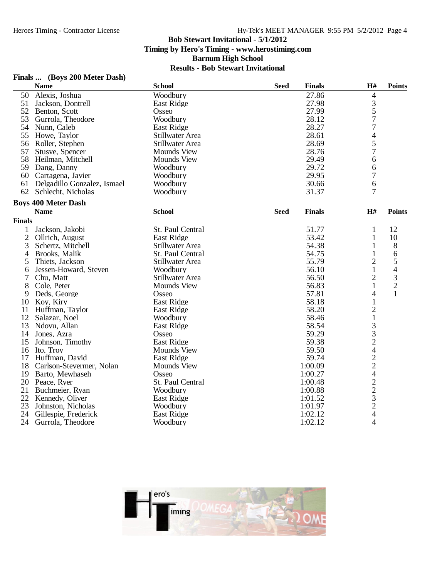## **Finals ... (Boys 200 Meter Dash)**

|               | <b>Name</b>                 | <b>School</b>          | <b>Seed</b> | <b>Finals</b> | H#                                                     | <b>Points</b> |
|---------------|-----------------------------|------------------------|-------------|---------------|--------------------------------------------------------|---------------|
| 50            | Alexis, Joshua              | Woodbury               |             | 27.86         | 4                                                      |               |
| 51            | Jackson, Dontrell           | East Ridge             |             | 27.98         |                                                        |               |
| 52            | Benton, Scott               | Osseo                  |             | 27.99         | $\frac{3}{5}$                                          |               |
| 53            | Gurrola, Theodore           | Woodbury               |             | 28.12         |                                                        |               |
| 54            | Nunn, Caleb                 | East Ridge             |             | 28.27         | $\overline{7}$                                         |               |
| 55            | Howe, Taylor                | Stillwater Area        |             | 28.61         |                                                        |               |
| 56            | Roller, Stephen             | Stillwater Area        |             | 28.69         | $\frac{4}{5}$                                          |               |
| 57            | Stusve, Spencer             | <b>Mounds View</b>     |             | 28.76         | $\overline{7}$                                         |               |
| 58            | Heilman, Mitchell           | <b>Mounds View</b>     |             | 29.49         | 6                                                      |               |
| 59            | Dang, Danny                 | Woodbury               |             | 29.72         | 6                                                      |               |
| 60            | Cartagena, Javier           | Woodbury               |             | 29.95         | $\overline{7}$                                         |               |
| 61            | Delgadillo Gonzalez, Ismael | Woodbury               |             | 30.66         | 6                                                      |               |
| 62            | Schlecht, Nicholas          | Woodbury               |             | 31.37         | 7                                                      |               |
|               | <b>Boys 400 Meter Dash</b>  |                        |             |               |                                                        |               |
|               | <b>Name</b>                 | <b>School</b>          | <b>Seed</b> | <b>Finals</b> | H#                                                     | <b>Points</b> |
| <b>Finals</b> |                             |                        |             |               |                                                        |               |
| $\mathbf{1}$  | Jackson, Jakobi             | St. Paul Central       |             | 51.77         | $\mathbf{1}$                                           | 12            |
| $\mathbf{2}$  | Ollrich, August             | East Ridge             |             | 53.42         | $\mathbf{1}$                                           | 10            |
| 3             | Schertz, Mitchell           | <b>Stillwater Area</b> |             | 54.38         | 1                                                      | 8             |
| 4             | Brooks, Malik               | St. Paul Central       |             | 54.75         | $\mathbf{1}$                                           | 6             |
| 5             | Thiets, Jackson             | Stillwater Area        |             | 55.79         | $\overline{2}$                                         | 5             |
| 6             | Jessen-Howard, Steven       | Woodbury               |             | 56.10         | $\mathbf{1}$                                           | 4             |
| 7             | Chu, Matt                   | Stillwater Area        |             | 56.50         | $\overline{2}$                                         |               |
| 8             | Cole, Peter                 | <b>Mounds View</b>     |             | 56.83         | $\mathbf{1}$                                           | $\frac{3}{2}$ |
|               | Deds, George                | Osseo                  |             | 57.81         | 4                                                      | $\mathbf{1}$  |
| 9<br>10       |                             | East Ridge             |             | 58.18         | $\mathbf{1}$                                           |               |
|               | Koy, Kiry                   |                        |             |               |                                                        |               |
| 11            | Huffman, Taylor             | <b>East Ridge</b>      |             | 58.20         | $\overline{2}$                                         |               |
| 12            | Salazar, Noel               | Woodbury               |             | 58.46         | $\mathbf{1}$                                           |               |
| 13            | Ndovu, Allan                | <b>East Ridge</b>      |             | 58.54         | 3                                                      |               |
| 14            | Jones, Azra                 | Osseo                  |             | 59.29         |                                                        |               |
| 15            | Johnson, Timothy            | <b>East Ridge</b>      |             | 59.38         | $\begin{array}{c} 3 \\ 2 \\ 4 \end{array}$             |               |
| 16            | Ito, Troy                   | <b>Mounds View</b>     |             | 59.50         |                                                        |               |
| 17            | Huffman, David              | <b>East Ridge</b>      |             | 59.74         | $\begin{array}{c} 2 \\ 2 \\ 4 \end{array}$             |               |
| 18            | Carlson-Stevermer, Nolan    | Mounds View            |             | 1:00.09       |                                                        |               |
| 19            | Barto, Mewhaseh             | Osseo                  |             | 1:00.27       |                                                        |               |
| 20            | Peace, Ryer                 | St. Paul Central       |             | 1:00.48       |                                                        |               |
| 21            | Buchmeier, Ryan             | Woodbury               |             | 1:00.88       | $\begin{array}{c}\n2 \\ 2 \\ 3 \\ 2 \\ 4\n\end{array}$ |               |
| 22            | Kennedy, Oliver             | East Ridge             |             | 1:01.52       |                                                        |               |
| 23            | Johnston, Nicholas          | Woodbury               |             | 1:01.97       |                                                        |               |
| 24            | Gillespie, Frederick        | East Ridge             |             | 1:02.12       |                                                        |               |
| 24            | Gurrola, Theodore           | Woodbury               |             | 1:02.12       | 4                                                      |               |

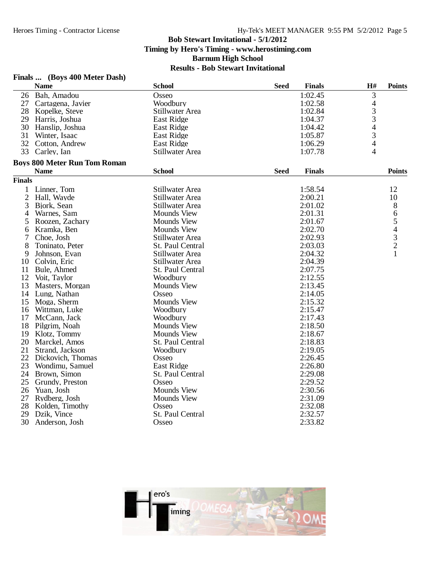## **Finals ... (Boys 400 Meter Dash)**

|                | <b>Name</b>                         | <b>School</b>      | <b>Seed</b> | <b>Finals</b> | H#                       | <b>Points</b>            |
|----------------|-------------------------------------|--------------------|-------------|---------------|--------------------------|--------------------------|
|                | 26 Bah, Amadou                      | Osseo              |             | 1:02.45       | 3                        |                          |
| 27             | Cartagena, Javier                   | Woodbury           |             | 1:02.58       | 4                        |                          |
| 28             | Kopelke, Steve                      | Stillwater Area    |             | 1:02.84       | 3                        |                          |
| 29             | Harris, Joshua                      | East Ridge         |             | 1:04.37       | 3                        |                          |
| 30             | Hanslip, Joshua                     | <b>East Ridge</b>  |             | 1:04.42       | $\overline{\mathcal{A}}$ |                          |
| 31             | Winter, Isaac                       | East Ridge         |             | 1:05.87       | 3                        |                          |
| 32             | Cotton, Andrew                      | <b>East Ridge</b>  |             | 1:06.29       | $\overline{4}$           |                          |
| 33             | Carley, Ian                         | Stillwater Area    |             | 1:07.78       | 4                        |                          |
|                | <b>Boys 800 Meter Run Tom Roman</b> |                    |             |               |                          |                          |
|                | <b>Name</b>                         | <b>School</b>      | <b>Seed</b> | <b>Finals</b> |                          | <b>Points</b>            |
| <b>Finals</b>  |                                     |                    |             |               |                          |                          |
| 1              | Linner, Tom                         | Stillwater Area    |             | 1:58.54       |                          | 12                       |
| $\overline{c}$ | Hall, Wayde                         | Stillwater Area    |             | 2:00.21       |                          | 10                       |
| 3              | Bjork, Sean                         | Stillwater Area    |             | 2:01.02       |                          | 8                        |
| 4              | Warnes, Sam                         | <b>Mounds View</b> |             | 2:01.31       |                          | 6                        |
| 5              | Roozen, Zachary                     | <b>Mounds View</b> |             | 2:01.67       |                          | 5                        |
| 6              | Kramka, Ben                         | <b>Mounds View</b> |             | 2:02.70       |                          | $\overline{\mathcal{L}}$ |
| 7              | Choe, Josh                          | Stillwater Area    |             | 2:02.93       |                          | $\frac{3}{2}$            |
| 8              | Toninato, Peter                     | St. Paul Central   |             | 2:03.03       |                          |                          |
| 9              | Johnson, Evan                       | Stillwater Area    |             | 2:04.32       |                          | 1                        |
| 10             | Colvin, Eric                        | Stillwater Area    |             | 2:04.39       |                          |                          |
| 11             | Bule, Ahmed                         | St. Paul Central   |             | 2:07.75       |                          |                          |
| 12             | Voit, Taylor                        | Woodbury           |             | 2:12.55       |                          |                          |
| 13             | Masters, Morgan                     | <b>Mounds View</b> |             | 2:13.45       |                          |                          |
| 14             | Lung, Nathan                        | Osseo              |             | 2:14.05       |                          |                          |
| 15             | Moga, Sherm                         | <b>Mounds View</b> |             | 2:15.32       |                          |                          |
| 16             | Wittman, Luke                       | Woodbury           |             | 2:15.47       |                          |                          |
| 17             | McCann, Jack                        | Woodbury           |             | 2:17.43       |                          |                          |
| 18             | Pilgrim, Noah                       | <b>Mounds View</b> |             | 2:18.50       |                          |                          |
| 19             | Klotz, Tommy                        | <b>Mounds View</b> |             | 2:18.67       |                          |                          |
| 20             | Marckel, Amos                       | St. Paul Central   |             | 2:18.83       |                          |                          |
| 21             | Strand, Jackson                     | Woodbury           |             | 2:19.05       |                          |                          |
| 22             | Dickovich, Thomas                   | Osseo              |             | 2:26.45       |                          |                          |
| 23             | Wondimu, Samuel                     | East Ridge         |             | 2:26.80       |                          |                          |
| 24             | Brown, Simon                        | St. Paul Central   |             | 2:29.08       |                          |                          |
| 25             | Grundy, Preston                     | Osseo              |             | 2:29.52       |                          |                          |
| 26             | Yuan, Josh                          | Mounds View        |             | 2:30.56       |                          |                          |
| 27             | Rydberg, Josh                       | <b>Mounds View</b> |             | 2:31.09       |                          |                          |
| 28             | Kolden, Timothy                     | Osseo              |             | 2:32.08       |                          |                          |
| 29             | Dzik, Vince                         | St. Paul Central   |             | 2:32.57       |                          |                          |
| 30             | Anderson, Josh                      | Osseo              |             | 2:33.82       |                          |                          |

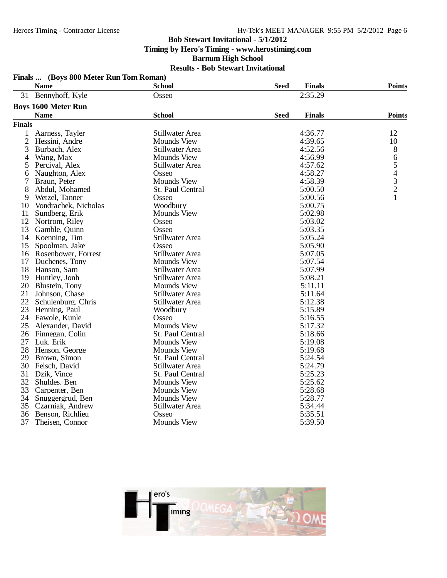#### Hy-Tek's MEET MANAGER 9:55 PM 5/2/2012 Page 6

### **Bob Stewart Invitational - 5/1/2012**

**Timing by Hero's Timing - www.herostiming.com**

**Barnum High School**

### **Results - Bob Stewart Invitational Finals ... (Boys 800 Meter Run Tom Roman)**

| 2:35.29<br>31 Bennyhoff, Kyle<br>Osseo<br><b>Boys 1600 Meter Run</b><br><b>School</b><br><b>Seed</b><br><b>Finals</b><br><b>Points</b><br><b>Name</b><br><b>Finals</b><br>4:36.77<br>$\mathbf{1}$<br>Stillwater Area<br>12<br>Aarness, Tayler<br>$\overline{2}$<br>4:39.65<br>10<br>Hessini, Andre<br><b>Mounds View</b><br>3<br>4:52.56<br>8<br>Burbach, Alex<br>Stillwater Area<br>Wang, Max<br><b>Mounds View</b><br>4:56.99<br>6<br>4<br>5<br>Percival. Alex<br><b>Stillwater Area</b><br>4:57.62<br>5<br>4<br>4:58.27<br>Naughton, Alex<br>Osseo<br>6<br>$\frac{3}{2}$<br><b>Mounds View</b><br>4:58.39<br>7<br>Braun, Peter<br>8<br>Abdul, Mohamed<br>St. Paul Central<br>5:00.50<br>$\mathbf{1}$<br>5:00.56<br>Wetzel, Tanner<br>Osseo<br>9<br>5:00.75<br>10<br>Vondrachek, Nicholas<br>Woodbury<br>5:02.98<br>11<br><b>Mounds View</b><br>Sundberg, Erik<br>12<br>Nortrom, Riley<br>Osseo<br>5:03.02<br>13<br>5:03.35<br>Gamble, Quinn<br>Osseo<br>14<br>Stillwater Area<br>5:05.24<br>Koenning, Tim<br>15<br>5:05.90<br>Spoolman, Jake<br>Osseo<br><b>Stillwater Area</b><br>5:07.05<br>16<br>Rosenbower, Forrest<br>17<br><b>Mounds View</b><br>5:07.54<br>Duchenes, Tony<br>18<br>5:07.99<br>Hanson, Sam<br>Stillwater Area<br>5:08.21<br>19<br>Stillwater Area<br>Huntley, Jonh<br>20<br>5:11.11<br>Blustein, Tony<br><b>Mounds View</b><br>21<br>Stillwater Area<br>5:11.64<br>Johnson, Chase<br>22<br>5:12.38<br>Schulenburg, Chris<br><b>Stillwater Area</b><br>23<br>Henning, Paul<br>Woodbury<br>5:15.89<br>24<br>Fawole, Kunle<br>Osseo<br>5:16.55<br><b>Mounds View</b><br>5:17.32<br>25<br>Alexander, David<br>5:18.66<br>26<br>St. Paul Central<br>Finnegan, Colin<br>27<br>5:19.08<br>Luk, Erik<br><b>Mounds View</b><br>28<br>Mounds View<br>5:19.68<br>Henson, George<br>5:24.54<br>29<br>Brown, Simon<br>St. Paul Central<br>30<br>5:24.79<br>Felsch, David<br>Stillwater Area<br>31<br>5:25.23<br>Dzik, Vince<br>St. Paul Central<br>32<br><b>Mounds View</b><br>5:25.62<br>Shuldes, Ben<br>33<br><b>Mounds View</b><br>5:28.68<br>Carpenter, Ben<br>34<br><b>Mounds View</b><br>5:28.77<br>Snuggergrud, Ben<br>35<br>5:34.44<br>Czarniak, Andrew<br>Stillwater Area<br>36<br>5:35.51<br>Benson, Richlieu<br>Osseo<br>37<br><b>Mounds View</b><br>5:39.50<br>Theisen, Connor | <b>Name</b> | <b>School</b> | <b>Seed</b> | <b>Finals</b> | <b>Points</b> |
|--------------------------------------------------------------------------------------------------------------------------------------------------------------------------------------------------------------------------------------------------------------------------------------------------------------------------------------------------------------------------------------------------------------------------------------------------------------------------------------------------------------------------------------------------------------------------------------------------------------------------------------------------------------------------------------------------------------------------------------------------------------------------------------------------------------------------------------------------------------------------------------------------------------------------------------------------------------------------------------------------------------------------------------------------------------------------------------------------------------------------------------------------------------------------------------------------------------------------------------------------------------------------------------------------------------------------------------------------------------------------------------------------------------------------------------------------------------------------------------------------------------------------------------------------------------------------------------------------------------------------------------------------------------------------------------------------------------------------------------------------------------------------------------------------------------------------------------------------------------------------------------------------------------------------------------------------------------------------------------------------------------------------------------------------------------------------------------------------------------------------------------------------------------------------------------------------------------------------------------------------------------------------------------------------------|-------------|---------------|-------------|---------------|---------------|
|                                                                                                                                                                                                                                                                                                                                                                                                                                                                                                                                                                                                                                                                                                                                                                                                                                                                                                                                                                                                                                                                                                                                                                                                                                                                                                                                                                                                                                                                                                                                                                                                                                                                                                                                                                                                                                                                                                                                                                                                                                                                                                                                                                                                                                                                                                        |             |               |             |               |               |
|                                                                                                                                                                                                                                                                                                                                                                                                                                                                                                                                                                                                                                                                                                                                                                                                                                                                                                                                                                                                                                                                                                                                                                                                                                                                                                                                                                                                                                                                                                                                                                                                                                                                                                                                                                                                                                                                                                                                                                                                                                                                                                                                                                                                                                                                                                        |             |               |             |               |               |
|                                                                                                                                                                                                                                                                                                                                                                                                                                                                                                                                                                                                                                                                                                                                                                                                                                                                                                                                                                                                                                                                                                                                                                                                                                                                                                                                                                                                                                                                                                                                                                                                                                                                                                                                                                                                                                                                                                                                                                                                                                                                                                                                                                                                                                                                                                        |             |               |             |               |               |
|                                                                                                                                                                                                                                                                                                                                                                                                                                                                                                                                                                                                                                                                                                                                                                                                                                                                                                                                                                                                                                                                                                                                                                                                                                                                                                                                                                                                                                                                                                                                                                                                                                                                                                                                                                                                                                                                                                                                                                                                                                                                                                                                                                                                                                                                                                        |             |               |             |               |               |
|                                                                                                                                                                                                                                                                                                                                                                                                                                                                                                                                                                                                                                                                                                                                                                                                                                                                                                                                                                                                                                                                                                                                                                                                                                                                                                                                                                                                                                                                                                                                                                                                                                                                                                                                                                                                                                                                                                                                                                                                                                                                                                                                                                                                                                                                                                        |             |               |             |               |               |
|                                                                                                                                                                                                                                                                                                                                                                                                                                                                                                                                                                                                                                                                                                                                                                                                                                                                                                                                                                                                                                                                                                                                                                                                                                                                                                                                                                                                                                                                                                                                                                                                                                                                                                                                                                                                                                                                                                                                                                                                                                                                                                                                                                                                                                                                                                        |             |               |             |               |               |
|                                                                                                                                                                                                                                                                                                                                                                                                                                                                                                                                                                                                                                                                                                                                                                                                                                                                                                                                                                                                                                                                                                                                                                                                                                                                                                                                                                                                                                                                                                                                                                                                                                                                                                                                                                                                                                                                                                                                                                                                                                                                                                                                                                                                                                                                                                        |             |               |             |               |               |
|                                                                                                                                                                                                                                                                                                                                                                                                                                                                                                                                                                                                                                                                                                                                                                                                                                                                                                                                                                                                                                                                                                                                                                                                                                                                                                                                                                                                                                                                                                                                                                                                                                                                                                                                                                                                                                                                                                                                                                                                                                                                                                                                                                                                                                                                                                        |             |               |             |               |               |
|                                                                                                                                                                                                                                                                                                                                                                                                                                                                                                                                                                                                                                                                                                                                                                                                                                                                                                                                                                                                                                                                                                                                                                                                                                                                                                                                                                                                                                                                                                                                                                                                                                                                                                                                                                                                                                                                                                                                                                                                                                                                                                                                                                                                                                                                                                        |             |               |             |               |               |
|                                                                                                                                                                                                                                                                                                                                                                                                                                                                                                                                                                                                                                                                                                                                                                                                                                                                                                                                                                                                                                                                                                                                                                                                                                                                                                                                                                                                                                                                                                                                                                                                                                                                                                                                                                                                                                                                                                                                                                                                                                                                                                                                                                                                                                                                                                        |             |               |             |               |               |
|                                                                                                                                                                                                                                                                                                                                                                                                                                                                                                                                                                                                                                                                                                                                                                                                                                                                                                                                                                                                                                                                                                                                                                                                                                                                                                                                                                                                                                                                                                                                                                                                                                                                                                                                                                                                                                                                                                                                                                                                                                                                                                                                                                                                                                                                                                        |             |               |             |               |               |
|                                                                                                                                                                                                                                                                                                                                                                                                                                                                                                                                                                                                                                                                                                                                                                                                                                                                                                                                                                                                                                                                                                                                                                                                                                                                                                                                                                                                                                                                                                                                                                                                                                                                                                                                                                                                                                                                                                                                                                                                                                                                                                                                                                                                                                                                                                        |             |               |             |               |               |
|                                                                                                                                                                                                                                                                                                                                                                                                                                                                                                                                                                                                                                                                                                                                                                                                                                                                                                                                                                                                                                                                                                                                                                                                                                                                                                                                                                                                                                                                                                                                                                                                                                                                                                                                                                                                                                                                                                                                                                                                                                                                                                                                                                                                                                                                                                        |             |               |             |               |               |
|                                                                                                                                                                                                                                                                                                                                                                                                                                                                                                                                                                                                                                                                                                                                                                                                                                                                                                                                                                                                                                                                                                                                                                                                                                                                                                                                                                                                                                                                                                                                                                                                                                                                                                                                                                                                                                                                                                                                                                                                                                                                                                                                                                                                                                                                                                        |             |               |             |               |               |
|                                                                                                                                                                                                                                                                                                                                                                                                                                                                                                                                                                                                                                                                                                                                                                                                                                                                                                                                                                                                                                                                                                                                                                                                                                                                                                                                                                                                                                                                                                                                                                                                                                                                                                                                                                                                                                                                                                                                                                                                                                                                                                                                                                                                                                                                                                        |             |               |             |               |               |
|                                                                                                                                                                                                                                                                                                                                                                                                                                                                                                                                                                                                                                                                                                                                                                                                                                                                                                                                                                                                                                                                                                                                                                                                                                                                                                                                                                                                                                                                                                                                                                                                                                                                                                                                                                                                                                                                                                                                                                                                                                                                                                                                                                                                                                                                                                        |             |               |             |               |               |
|                                                                                                                                                                                                                                                                                                                                                                                                                                                                                                                                                                                                                                                                                                                                                                                                                                                                                                                                                                                                                                                                                                                                                                                                                                                                                                                                                                                                                                                                                                                                                                                                                                                                                                                                                                                                                                                                                                                                                                                                                                                                                                                                                                                                                                                                                                        |             |               |             |               |               |
|                                                                                                                                                                                                                                                                                                                                                                                                                                                                                                                                                                                                                                                                                                                                                                                                                                                                                                                                                                                                                                                                                                                                                                                                                                                                                                                                                                                                                                                                                                                                                                                                                                                                                                                                                                                                                                                                                                                                                                                                                                                                                                                                                                                                                                                                                                        |             |               |             |               |               |
|                                                                                                                                                                                                                                                                                                                                                                                                                                                                                                                                                                                                                                                                                                                                                                                                                                                                                                                                                                                                                                                                                                                                                                                                                                                                                                                                                                                                                                                                                                                                                                                                                                                                                                                                                                                                                                                                                                                                                                                                                                                                                                                                                                                                                                                                                                        |             |               |             |               |               |
|                                                                                                                                                                                                                                                                                                                                                                                                                                                                                                                                                                                                                                                                                                                                                                                                                                                                                                                                                                                                                                                                                                                                                                                                                                                                                                                                                                                                                                                                                                                                                                                                                                                                                                                                                                                                                                                                                                                                                                                                                                                                                                                                                                                                                                                                                                        |             |               |             |               |               |
|                                                                                                                                                                                                                                                                                                                                                                                                                                                                                                                                                                                                                                                                                                                                                                                                                                                                                                                                                                                                                                                                                                                                                                                                                                                                                                                                                                                                                                                                                                                                                                                                                                                                                                                                                                                                                                                                                                                                                                                                                                                                                                                                                                                                                                                                                                        |             |               |             |               |               |
|                                                                                                                                                                                                                                                                                                                                                                                                                                                                                                                                                                                                                                                                                                                                                                                                                                                                                                                                                                                                                                                                                                                                                                                                                                                                                                                                                                                                                                                                                                                                                                                                                                                                                                                                                                                                                                                                                                                                                                                                                                                                                                                                                                                                                                                                                                        |             |               |             |               |               |
|                                                                                                                                                                                                                                                                                                                                                                                                                                                                                                                                                                                                                                                                                                                                                                                                                                                                                                                                                                                                                                                                                                                                                                                                                                                                                                                                                                                                                                                                                                                                                                                                                                                                                                                                                                                                                                                                                                                                                                                                                                                                                                                                                                                                                                                                                                        |             |               |             |               |               |
|                                                                                                                                                                                                                                                                                                                                                                                                                                                                                                                                                                                                                                                                                                                                                                                                                                                                                                                                                                                                                                                                                                                                                                                                                                                                                                                                                                                                                                                                                                                                                                                                                                                                                                                                                                                                                                                                                                                                                                                                                                                                                                                                                                                                                                                                                                        |             |               |             |               |               |
|                                                                                                                                                                                                                                                                                                                                                                                                                                                                                                                                                                                                                                                                                                                                                                                                                                                                                                                                                                                                                                                                                                                                                                                                                                                                                                                                                                                                                                                                                                                                                                                                                                                                                                                                                                                                                                                                                                                                                                                                                                                                                                                                                                                                                                                                                                        |             |               |             |               |               |
|                                                                                                                                                                                                                                                                                                                                                                                                                                                                                                                                                                                                                                                                                                                                                                                                                                                                                                                                                                                                                                                                                                                                                                                                                                                                                                                                                                                                                                                                                                                                                                                                                                                                                                                                                                                                                                                                                                                                                                                                                                                                                                                                                                                                                                                                                                        |             |               |             |               |               |
|                                                                                                                                                                                                                                                                                                                                                                                                                                                                                                                                                                                                                                                                                                                                                                                                                                                                                                                                                                                                                                                                                                                                                                                                                                                                                                                                                                                                                                                                                                                                                                                                                                                                                                                                                                                                                                                                                                                                                                                                                                                                                                                                                                                                                                                                                                        |             |               |             |               |               |
|                                                                                                                                                                                                                                                                                                                                                                                                                                                                                                                                                                                                                                                                                                                                                                                                                                                                                                                                                                                                                                                                                                                                                                                                                                                                                                                                                                                                                                                                                                                                                                                                                                                                                                                                                                                                                                                                                                                                                                                                                                                                                                                                                                                                                                                                                                        |             |               |             |               |               |
|                                                                                                                                                                                                                                                                                                                                                                                                                                                                                                                                                                                                                                                                                                                                                                                                                                                                                                                                                                                                                                                                                                                                                                                                                                                                                                                                                                                                                                                                                                                                                                                                                                                                                                                                                                                                                                                                                                                                                                                                                                                                                                                                                                                                                                                                                                        |             |               |             |               |               |
|                                                                                                                                                                                                                                                                                                                                                                                                                                                                                                                                                                                                                                                                                                                                                                                                                                                                                                                                                                                                                                                                                                                                                                                                                                                                                                                                                                                                                                                                                                                                                                                                                                                                                                                                                                                                                                                                                                                                                                                                                                                                                                                                                                                                                                                                                                        |             |               |             |               |               |
|                                                                                                                                                                                                                                                                                                                                                                                                                                                                                                                                                                                                                                                                                                                                                                                                                                                                                                                                                                                                                                                                                                                                                                                                                                                                                                                                                                                                                                                                                                                                                                                                                                                                                                                                                                                                                                                                                                                                                                                                                                                                                                                                                                                                                                                                                                        |             |               |             |               |               |
|                                                                                                                                                                                                                                                                                                                                                                                                                                                                                                                                                                                                                                                                                                                                                                                                                                                                                                                                                                                                                                                                                                                                                                                                                                                                                                                                                                                                                                                                                                                                                                                                                                                                                                                                                                                                                                                                                                                                                                                                                                                                                                                                                                                                                                                                                                        |             |               |             |               |               |
|                                                                                                                                                                                                                                                                                                                                                                                                                                                                                                                                                                                                                                                                                                                                                                                                                                                                                                                                                                                                                                                                                                                                                                                                                                                                                                                                                                                                                                                                                                                                                                                                                                                                                                                                                                                                                                                                                                                                                                                                                                                                                                                                                                                                                                                                                                        |             |               |             |               |               |
|                                                                                                                                                                                                                                                                                                                                                                                                                                                                                                                                                                                                                                                                                                                                                                                                                                                                                                                                                                                                                                                                                                                                                                                                                                                                                                                                                                                                                                                                                                                                                                                                                                                                                                                                                                                                                                                                                                                                                                                                                                                                                                                                                                                                                                                                                                        |             |               |             |               |               |
|                                                                                                                                                                                                                                                                                                                                                                                                                                                                                                                                                                                                                                                                                                                                                                                                                                                                                                                                                                                                                                                                                                                                                                                                                                                                                                                                                                                                                                                                                                                                                                                                                                                                                                                                                                                                                                                                                                                                                                                                                                                                                                                                                                                                                                                                                                        |             |               |             |               |               |
|                                                                                                                                                                                                                                                                                                                                                                                                                                                                                                                                                                                                                                                                                                                                                                                                                                                                                                                                                                                                                                                                                                                                                                                                                                                                                                                                                                                                                                                                                                                                                                                                                                                                                                                                                                                                                                                                                                                                                                                                                                                                                                                                                                                                                                                                                                        |             |               |             |               |               |
|                                                                                                                                                                                                                                                                                                                                                                                                                                                                                                                                                                                                                                                                                                                                                                                                                                                                                                                                                                                                                                                                                                                                                                                                                                                                                                                                                                                                                                                                                                                                                                                                                                                                                                                                                                                                                                                                                                                                                                                                                                                                                                                                                                                                                                                                                                        |             |               |             |               |               |
|                                                                                                                                                                                                                                                                                                                                                                                                                                                                                                                                                                                                                                                                                                                                                                                                                                                                                                                                                                                                                                                                                                                                                                                                                                                                                                                                                                                                                                                                                                                                                                                                                                                                                                                                                                                                                                                                                                                                                                                                                                                                                                                                                                                                                                                                                                        |             |               |             |               |               |
|                                                                                                                                                                                                                                                                                                                                                                                                                                                                                                                                                                                                                                                                                                                                                                                                                                                                                                                                                                                                                                                                                                                                                                                                                                                                                                                                                                                                                                                                                                                                                                                                                                                                                                                                                                                                                                                                                                                                                                                                                                                                                                                                                                                                                                                                                                        |             |               |             |               |               |
|                                                                                                                                                                                                                                                                                                                                                                                                                                                                                                                                                                                                                                                                                                                                                                                                                                                                                                                                                                                                                                                                                                                                                                                                                                                                                                                                                                                                                                                                                                                                                                                                                                                                                                                                                                                                                                                                                                                                                                                                                                                                                                                                                                                                                                                                                                        |             |               |             |               |               |
|                                                                                                                                                                                                                                                                                                                                                                                                                                                                                                                                                                                                                                                                                                                                                                                                                                                                                                                                                                                                                                                                                                                                                                                                                                                                                                                                                                                                                                                                                                                                                                                                                                                                                                                                                                                                                                                                                                                                                                                                                                                                                                                                                                                                                                                                                                        |             |               |             |               |               |

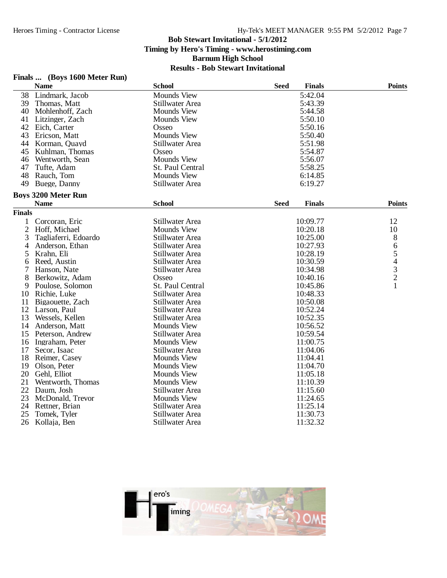# **Finals ... (Boys 1600 Meter Run)**

|                | <b>Name</b>                | <b>School</b>      | <b>Seed</b> | <b>Finals</b> | <b>Points</b>                                   |
|----------------|----------------------------|--------------------|-------------|---------------|-------------------------------------------------|
| 38             | Lindmark, Jacob            | <b>Mounds View</b> |             | 5:42.04       |                                                 |
| 39             | Thomas, Matt               | Stillwater Area    |             | 5:43.39       |                                                 |
| 40             | Mohlenhoff, Zach           | <b>Mounds View</b> |             | 5:44.58       |                                                 |
| 41             | Litzinger, Zach            | <b>Mounds View</b> |             | 5:50.10       |                                                 |
| 42             | Eich, Carter               | Osseo              |             | 5:50.16       |                                                 |
| 43             | Ericson, Matt              | <b>Mounds View</b> |             | 5:50.40       |                                                 |
| 44             | Korman, Quayd              | Stillwater Area    |             | 5:51.98       |                                                 |
| 45             | Kuhlman, Thomas            | Osseo              |             | 5:54.87       |                                                 |
| 46             | Wentworth, Sean            | <b>Mounds View</b> |             | 5:56.07       |                                                 |
| 47             | Tufte, Adam                | St. Paul Central   |             | 5:58.25       |                                                 |
| 48             | Rauch, Tom                 | <b>Mounds View</b> |             | 6:14.85       |                                                 |
| 49             | Buege, Danny               | Stillwater Area    |             | 6:19.27       |                                                 |
|                | <b>Boys 3200 Meter Run</b> |                    |             |               |                                                 |
|                | <b>Name</b>                | <b>School</b>      | <b>Seed</b> | <b>Finals</b> | <b>Points</b>                                   |
| <b>Finals</b>  |                            |                    |             |               |                                                 |
| 1              | Corcoran, Eric             | Stillwater Area    |             | 10:09.77      | 12                                              |
| $\overline{2}$ | Hoff, Michael              | <b>Mounds View</b> |             | 10:20.18      | 10                                              |
| 3              | Tagliaferri, Edoardo       | Stillwater Area    |             | 10:25.00      | 8                                               |
| 4              | Anderson, Ethan            | Stillwater Area    |             | 10:27.93      | 6                                               |
| 5              | Krahn, Eli                 | Stillwater Area    |             | 10:28.19      |                                                 |
| 6              | Reed, Austin               | Stillwater Area    |             | 10:30.59      | $\begin{array}{c} 5 \\ 4 \\ 3 \\ 2 \end{array}$ |
| 7              | Hanson, Nate               | Stillwater Area    |             | 10:34.98      |                                                 |
| 8              | Berkowitz, Adam            | Osseo              |             | 10:40.16      |                                                 |
| 9              | Poulose, Solomon           | St. Paul Central   |             | 10:45.86      | 1                                               |
| 10             | Richie, Luke               | Stillwater Area    |             | 10:48.33      |                                                 |
| 11             | Bigaouette, Zach           | Stillwater Area    |             | 10:50.08      |                                                 |
| 12             | Larson, Paul               | Stillwater Area    |             | 10:52.24      |                                                 |
| 13             | Wessels, Kellen            | Stillwater Area    |             | 10:52.35      |                                                 |
| 14             | Anderson, Matt             | <b>Mounds View</b> |             | 10:56.52      |                                                 |
| 15             | Peterson, Andrew           | Stillwater Area    |             | 10:59.54      |                                                 |
| 16             | Ingraham, Peter            | <b>Mounds View</b> |             | 11:00.75      |                                                 |
| 17             | Secor, Isaac               | Stillwater Area    |             | 11:04.06      |                                                 |
| 18             | Reimer, Casey              | <b>Mounds View</b> |             | 11:04.41      |                                                 |
| 19             | Olson, Peter               | <b>Mounds View</b> |             | 11:04.70      |                                                 |
| 20             | Gehl, Elliot               | <b>Mounds View</b> |             | 11:05.18      |                                                 |
| 21             | Wentworth, Thomas          | <b>Mounds View</b> |             | 11:10.39      |                                                 |
| 22             | Daum, Josh                 | Stillwater Area    |             | 11:15.60      |                                                 |
| 23             | McDonald, Trevor           | <b>Mounds View</b> |             | 11:24.65      |                                                 |
| 24             | Rettner, Brian             | Stillwater Area    |             | 11:25.14      |                                                 |
| 25             | Tomek, Tyler               | Stillwater Area    |             | 11:30.73      |                                                 |
| 26             | Kollaja, Ben               | Stillwater Area    |             | 11:32.32      |                                                 |

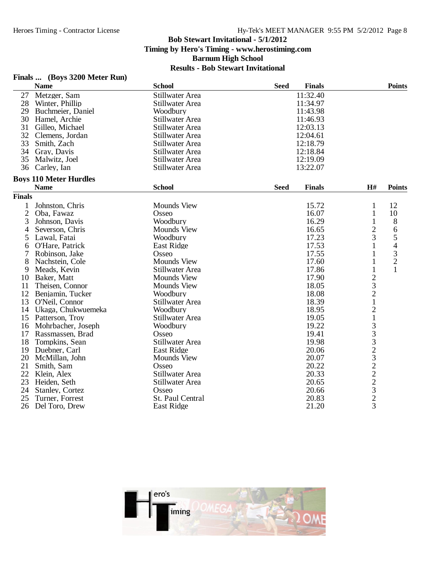## **Finals ... (Boys 3200 Meter Run)**

| 11:32.40<br>27<br>Metzger, Sam<br>Stillwater Area<br>28<br>11:34.97<br>Winter, Phillip<br>Stillwater Area<br>29<br>Buchmeier, Daniel<br>11:43.98<br>Woodbury<br>30<br>Stillwater Area<br>11:46.93<br>Hamel, Archie<br>31<br>12:03.13<br>Gilleo, Michael<br>Stillwater Area<br>32<br>12:04.61<br>Clemens, Jordan<br>Stillwater Area<br>33<br>12:18.79<br>Smith, Zach<br>Stillwater Area<br>34<br>12:18.84<br>Gray, Davis<br>Stillwater Area<br>35<br>12:19.09<br>Stillwater Area<br>Malwitz, Joel<br>36<br>Carley, Ian<br>Stillwater Area<br>13:22.07<br><b>Boys 110 Meter Hurdles</b><br><b>School</b><br><b>Name</b><br><b>Finals</b><br>H#<br><b>Seed</b><br><b>Points</b><br><b>Finals</b><br><b>Mounds View</b><br>15.72<br>$\mathbf{1}$<br>12<br>1<br>Johnston, Chris<br>$\overline{2}$<br>16.07<br>$\mathbf{1}$<br>10<br>Oba, Fawaz<br>Osseo<br>3<br>Woodbury<br>16.29<br>$\mathbf{1}$<br>8<br>Johnson, Davis<br>$\overline{c}$<br>Severson, Chris<br><b>Mounds View</b><br>16.65<br>6<br>4<br>3<br>5<br>17.23<br>5<br>Lawal, Fatai<br>Woodbury<br>$\overline{\mathcal{A}}$<br>17.53<br>$\mathbf{1}$<br>O'Hare, Patrick<br>East Ridge<br>6<br>3<br>7<br>17.55<br>Robinson, Jake<br>Osseo<br>$\overline{c}$<br>8<br><b>Mounds View</b><br>17.60<br>Nachstein, Cole<br>1<br>$\mathbf{1}$<br>$\mathbf{1}$<br>Meads, Kevin<br>Stillwater Area<br>17.86<br>9<br>$\begin{array}{c} 2 \\ 3 \\ 2 \\ 1 \end{array}$<br>Baker, Matt<br><b>Mounds View</b><br>17.90<br>10<br><b>Mounds View</b><br>18.05<br>11<br>Theisen, Connor<br>12<br>18.08<br>Woodbury<br>Benjamin, Tucker<br>13<br>18.39<br>Stillwater Area<br>O'Neil, Connor<br>$\frac{2}{1}$<br>18.95<br>14 Ukaga, Chukwuemeka<br>Woodbury<br>15<br>Patterson, Troy<br>Stillwater Area<br>19.05<br>3332322323<br>19.22<br>16<br>Mohrbacher, Joseph<br>Woodbury<br>17<br>19.41<br>Rassmassen, Brad<br>Osseo<br>19.98<br>18<br>Tompkins, Sean<br>Stillwater Area<br>20.06<br>19<br><b>East Ridge</b><br>Duebner, Carl<br>20<br>McMillan, John<br><b>Mounds View</b><br>20.07<br>21<br>Smith, Sam<br>Osseo<br>20.22<br>22<br>20.33<br>Klein, Alex<br>Stillwater Area<br>23<br>20.65<br>Heiden, Seth<br>Stillwater Area<br>24<br>20.66<br>Stanley, Cortez<br>Osseo<br>20.83<br>25<br>St. Paul Central<br>Turner, Forrest<br>21.20<br>26<br>Del Toro, Drew<br><b>East Ridge</b> | <b>Name</b> | <b>School</b> | <b>Seed</b> | <b>Finals</b> | <b>Points</b> |
|--------------------------------------------------------------------------------------------------------------------------------------------------------------------------------------------------------------------------------------------------------------------------------------------------------------------------------------------------------------------------------------------------------------------------------------------------------------------------------------------------------------------------------------------------------------------------------------------------------------------------------------------------------------------------------------------------------------------------------------------------------------------------------------------------------------------------------------------------------------------------------------------------------------------------------------------------------------------------------------------------------------------------------------------------------------------------------------------------------------------------------------------------------------------------------------------------------------------------------------------------------------------------------------------------------------------------------------------------------------------------------------------------------------------------------------------------------------------------------------------------------------------------------------------------------------------------------------------------------------------------------------------------------------------------------------------------------------------------------------------------------------------------------------------------------------------------------------------------------------------------------------------------------------------------------------------------------------------------------------------------------------------------------------------------------------------------------------------------------------------------------------------------------------------------------------------------------------------------------------------------------------------------------------------------------------------------------|-------------|---------------|-------------|---------------|---------------|
|                                                                                                                                                                                                                                                                                                                                                                                                                                                                                                                                                                                                                                                                                                                                                                                                                                                                                                                                                                                                                                                                                                                                                                                                                                                                                                                                                                                                                                                                                                                                                                                                                                                                                                                                                                                                                                                                                                                                                                                                                                                                                                                                                                                                                                                                                                                                |             |               |             |               |               |
|                                                                                                                                                                                                                                                                                                                                                                                                                                                                                                                                                                                                                                                                                                                                                                                                                                                                                                                                                                                                                                                                                                                                                                                                                                                                                                                                                                                                                                                                                                                                                                                                                                                                                                                                                                                                                                                                                                                                                                                                                                                                                                                                                                                                                                                                                                                                |             |               |             |               |               |
|                                                                                                                                                                                                                                                                                                                                                                                                                                                                                                                                                                                                                                                                                                                                                                                                                                                                                                                                                                                                                                                                                                                                                                                                                                                                                                                                                                                                                                                                                                                                                                                                                                                                                                                                                                                                                                                                                                                                                                                                                                                                                                                                                                                                                                                                                                                                |             |               |             |               |               |
|                                                                                                                                                                                                                                                                                                                                                                                                                                                                                                                                                                                                                                                                                                                                                                                                                                                                                                                                                                                                                                                                                                                                                                                                                                                                                                                                                                                                                                                                                                                                                                                                                                                                                                                                                                                                                                                                                                                                                                                                                                                                                                                                                                                                                                                                                                                                |             |               |             |               |               |
|                                                                                                                                                                                                                                                                                                                                                                                                                                                                                                                                                                                                                                                                                                                                                                                                                                                                                                                                                                                                                                                                                                                                                                                                                                                                                                                                                                                                                                                                                                                                                                                                                                                                                                                                                                                                                                                                                                                                                                                                                                                                                                                                                                                                                                                                                                                                |             |               |             |               |               |
|                                                                                                                                                                                                                                                                                                                                                                                                                                                                                                                                                                                                                                                                                                                                                                                                                                                                                                                                                                                                                                                                                                                                                                                                                                                                                                                                                                                                                                                                                                                                                                                                                                                                                                                                                                                                                                                                                                                                                                                                                                                                                                                                                                                                                                                                                                                                |             |               |             |               |               |
|                                                                                                                                                                                                                                                                                                                                                                                                                                                                                                                                                                                                                                                                                                                                                                                                                                                                                                                                                                                                                                                                                                                                                                                                                                                                                                                                                                                                                                                                                                                                                                                                                                                                                                                                                                                                                                                                                                                                                                                                                                                                                                                                                                                                                                                                                                                                |             |               |             |               |               |
|                                                                                                                                                                                                                                                                                                                                                                                                                                                                                                                                                                                                                                                                                                                                                                                                                                                                                                                                                                                                                                                                                                                                                                                                                                                                                                                                                                                                                                                                                                                                                                                                                                                                                                                                                                                                                                                                                                                                                                                                                                                                                                                                                                                                                                                                                                                                |             |               |             |               |               |
|                                                                                                                                                                                                                                                                                                                                                                                                                                                                                                                                                                                                                                                                                                                                                                                                                                                                                                                                                                                                                                                                                                                                                                                                                                                                                                                                                                                                                                                                                                                                                                                                                                                                                                                                                                                                                                                                                                                                                                                                                                                                                                                                                                                                                                                                                                                                |             |               |             |               |               |
|                                                                                                                                                                                                                                                                                                                                                                                                                                                                                                                                                                                                                                                                                                                                                                                                                                                                                                                                                                                                                                                                                                                                                                                                                                                                                                                                                                                                                                                                                                                                                                                                                                                                                                                                                                                                                                                                                                                                                                                                                                                                                                                                                                                                                                                                                                                                |             |               |             |               |               |
|                                                                                                                                                                                                                                                                                                                                                                                                                                                                                                                                                                                                                                                                                                                                                                                                                                                                                                                                                                                                                                                                                                                                                                                                                                                                                                                                                                                                                                                                                                                                                                                                                                                                                                                                                                                                                                                                                                                                                                                                                                                                                                                                                                                                                                                                                                                                |             |               |             |               |               |
|                                                                                                                                                                                                                                                                                                                                                                                                                                                                                                                                                                                                                                                                                                                                                                                                                                                                                                                                                                                                                                                                                                                                                                                                                                                                                                                                                                                                                                                                                                                                                                                                                                                                                                                                                                                                                                                                                                                                                                                                                                                                                                                                                                                                                                                                                                                                |             |               |             |               |               |
|                                                                                                                                                                                                                                                                                                                                                                                                                                                                                                                                                                                                                                                                                                                                                                                                                                                                                                                                                                                                                                                                                                                                                                                                                                                                                                                                                                                                                                                                                                                                                                                                                                                                                                                                                                                                                                                                                                                                                                                                                                                                                                                                                                                                                                                                                                                                |             |               |             |               |               |
|                                                                                                                                                                                                                                                                                                                                                                                                                                                                                                                                                                                                                                                                                                                                                                                                                                                                                                                                                                                                                                                                                                                                                                                                                                                                                                                                                                                                                                                                                                                                                                                                                                                                                                                                                                                                                                                                                                                                                                                                                                                                                                                                                                                                                                                                                                                                |             |               |             |               |               |
|                                                                                                                                                                                                                                                                                                                                                                                                                                                                                                                                                                                                                                                                                                                                                                                                                                                                                                                                                                                                                                                                                                                                                                                                                                                                                                                                                                                                                                                                                                                                                                                                                                                                                                                                                                                                                                                                                                                                                                                                                                                                                                                                                                                                                                                                                                                                |             |               |             |               |               |
|                                                                                                                                                                                                                                                                                                                                                                                                                                                                                                                                                                                                                                                                                                                                                                                                                                                                                                                                                                                                                                                                                                                                                                                                                                                                                                                                                                                                                                                                                                                                                                                                                                                                                                                                                                                                                                                                                                                                                                                                                                                                                                                                                                                                                                                                                                                                |             |               |             |               |               |
|                                                                                                                                                                                                                                                                                                                                                                                                                                                                                                                                                                                                                                                                                                                                                                                                                                                                                                                                                                                                                                                                                                                                                                                                                                                                                                                                                                                                                                                                                                                                                                                                                                                                                                                                                                                                                                                                                                                                                                                                                                                                                                                                                                                                                                                                                                                                |             |               |             |               |               |
|                                                                                                                                                                                                                                                                                                                                                                                                                                                                                                                                                                                                                                                                                                                                                                                                                                                                                                                                                                                                                                                                                                                                                                                                                                                                                                                                                                                                                                                                                                                                                                                                                                                                                                                                                                                                                                                                                                                                                                                                                                                                                                                                                                                                                                                                                                                                |             |               |             |               |               |
|                                                                                                                                                                                                                                                                                                                                                                                                                                                                                                                                                                                                                                                                                                                                                                                                                                                                                                                                                                                                                                                                                                                                                                                                                                                                                                                                                                                                                                                                                                                                                                                                                                                                                                                                                                                                                                                                                                                                                                                                                                                                                                                                                                                                                                                                                                                                |             |               |             |               |               |
|                                                                                                                                                                                                                                                                                                                                                                                                                                                                                                                                                                                                                                                                                                                                                                                                                                                                                                                                                                                                                                                                                                                                                                                                                                                                                                                                                                                                                                                                                                                                                                                                                                                                                                                                                                                                                                                                                                                                                                                                                                                                                                                                                                                                                                                                                                                                |             |               |             |               |               |
|                                                                                                                                                                                                                                                                                                                                                                                                                                                                                                                                                                                                                                                                                                                                                                                                                                                                                                                                                                                                                                                                                                                                                                                                                                                                                                                                                                                                                                                                                                                                                                                                                                                                                                                                                                                                                                                                                                                                                                                                                                                                                                                                                                                                                                                                                                                                |             |               |             |               |               |
|                                                                                                                                                                                                                                                                                                                                                                                                                                                                                                                                                                                                                                                                                                                                                                                                                                                                                                                                                                                                                                                                                                                                                                                                                                                                                                                                                                                                                                                                                                                                                                                                                                                                                                                                                                                                                                                                                                                                                                                                                                                                                                                                                                                                                                                                                                                                |             |               |             |               |               |
|                                                                                                                                                                                                                                                                                                                                                                                                                                                                                                                                                                                                                                                                                                                                                                                                                                                                                                                                                                                                                                                                                                                                                                                                                                                                                                                                                                                                                                                                                                                                                                                                                                                                                                                                                                                                                                                                                                                                                                                                                                                                                                                                                                                                                                                                                                                                |             |               |             |               |               |
|                                                                                                                                                                                                                                                                                                                                                                                                                                                                                                                                                                                                                                                                                                                                                                                                                                                                                                                                                                                                                                                                                                                                                                                                                                                                                                                                                                                                                                                                                                                                                                                                                                                                                                                                                                                                                                                                                                                                                                                                                                                                                                                                                                                                                                                                                                                                |             |               |             |               |               |
|                                                                                                                                                                                                                                                                                                                                                                                                                                                                                                                                                                                                                                                                                                                                                                                                                                                                                                                                                                                                                                                                                                                                                                                                                                                                                                                                                                                                                                                                                                                                                                                                                                                                                                                                                                                                                                                                                                                                                                                                                                                                                                                                                                                                                                                                                                                                |             |               |             |               |               |
|                                                                                                                                                                                                                                                                                                                                                                                                                                                                                                                                                                                                                                                                                                                                                                                                                                                                                                                                                                                                                                                                                                                                                                                                                                                                                                                                                                                                                                                                                                                                                                                                                                                                                                                                                                                                                                                                                                                                                                                                                                                                                                                                                                                                                                                                                                                                |             |               |             |               |               |
|                                                                                                                                                                                                                                                                                                                                                                                                                                                                                                                                                                                                                                                                                                                                                                                                                                                                                                                                                                                                                                                                                                                                                                                                                                                                                                                                                                                                                                                                                                                                                                                                                                                                                                                                                                                                                                                                                                                                                                                                                                                                                                                                                                                                                                                                                                                                |             |               |             |               |               |
|                                                                                                                                                                                                                                                                                                                                                                                                                                                                                                                                                                                                                                                                                                                                                                                                                                                                                                                                                                                                                                                                                                                                                                                                                                                                                                                                                                                                                                                                                                                                                                                                                                                                                                                                                                                                                                                                                                                                                                                                                                                                                                                                                                                                                                                                                                                                |             |               |             |               |               |
|                                                                                                                                                                                                                                                                                                                                                                                                                                                                                                                                                                                                                                                                                                                                                                                                                                                                                                                                                                                                                                                                                                                                                                                                                                                                                                                                                                                                                                                                                                                                                                                                                                                                                                                                                                                                                                                                                                                                                                                                                                                                                                                                                                                                                                                                                                                                |             |               |             |               |               |
|                                                                                                                                                                                                                                                                                                                                                                                                                                                                                                                                                                                                                                                                                                                                                                                                                                                                                                                                                                                                                                                                                                                                                                                                                                                                                                                                                                                                                                                                                                                                                                                                                                                                                                                                                                                                                                                                                                                                                                                                                                                                                                                                                                                                                                                                                                                                |             |               |             |               |               |
|                                                                                                                                                                                                                                                                                                                                                                                                                                                                                                                                                                                                                                                                                                                                                                                                                                                                                                                                                                                                                                                                                                                                                                                                                                                                                                                                                                                                                                                                                                                                                                                                                                                                                                                                                                                                                                                                                                                                                                                                                                                                                                                                                                                                                                                                                                                                |             |               |             |               |               |
|                                                                                                                                                                                                                                                                                                                                                                                                                                                                                                                                                                                                                                                                                                                                                                                                                                                                                                                                                                                                                                                                                                                                                                                                                                                                                                                                                                                                                                                                                                                                                                                                                                                                                                                                                                                                                                                                                                                                                                                                                                                                                                                                                                                                                                                                                                                                |             |               |             |               |               |
|                                                                                                                                                                                                                                                                                                                                                                                                                                                                                                                                                                                                                                                                                                                                                                                                                                                                                                                                                                                                                                                                                                                                                                                                                                                                                                                                                                                                                                                                                                                                                                                                                                                                                                                                                                                                                                                                                                                                                                                                                                                                                                                                                                                                                                                                                                                                |             |               |             |               |               |
|                                                                                                                                                                                                                                                                                                                                                                                                                                                                                                                                                                                                                                                                                                                                                                                                                                                                                                                                                                                                                                                                                                                                                                                                                                                                                                                                                                                                                                                                                                                                                                                                                                                                                                                                                                                                                                                                                                                                                                                                                                                                                                                                                                                                                                                                                                                                |             |               |             |               |               |
|                                                                                                                                                                                                                                                                                                                                                                                                                                                                                                                                                                                                                                                                                                                                                                                                                                                                                                                                                                                                                                                                                                                                                                                                                                                                                                                                                                                                                                                                                                                                                                                                                                                                                                                                                                                                                                                                                                                                                                                                                                                                                                                                                                                                                                                                                                                                |             |               |             |               |               |
|                                                                                                                                                                                                                                                                                                                                                                                                                                                                                                                                                                                                                                                                                                                                                                                                                                                                                                                                                                                                                                                                                                                                                                                                                                                                                                                                                                                                                                                                                                                                                                                                                                                                                                                                                                                                                                                                                                                                                                                                                                                                                                                                                                                                                                                                                                                                |             |               |             |               |               |
|                                                                                                                                                                                                                                                                                                                                                                                                                                                                                                                                                                                                                                                                                                                                                                                                                                                                                                                                                                                                                                                                                                                                                                                                                                                                                                                                                                                                                                                                                                                                                                                                                                                                                                                                                                                                                                                                                                                                                                                                                                                                                                                                                                                                                                                                                                                                |             |               |             |               |               |
|                                                                                                                                                                                                                                                                                                                                                                                                                                                                                                                                                                                                                                                                                                                                                                                                                                                                                                                                                                                                                                                                                                                                                                                                                                                                                                                                                                                                                                                                                                                                                                                                                                                                                                                                                                                                                                                                                                                                                                                                                                                                                                                                                                                                                                                                                                                                |             |               |             |               |               |
|                                                                                                                                                                                                                                                                                                                                                                                                                                                                                                                                                                                                                                                                                                                                                                                                                                                                                                                                                                                                                                                                                                                                                                                                                                                                                                                                                                                                                                                                                                                                                                                                                                                                                                                                                                                                                                                                                                                                                                                                                                                                                                                                                                                                                                                                                                                                |             |               |             |               |               |

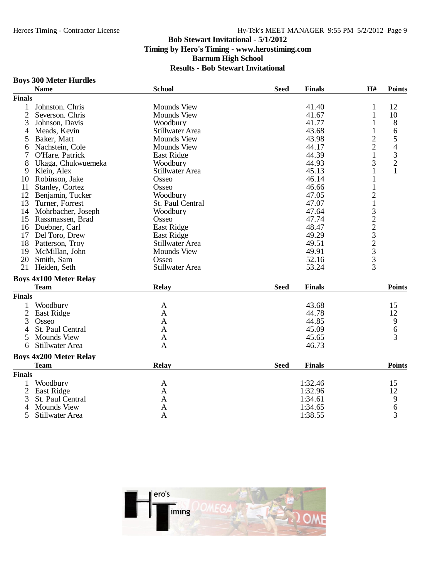# **Boys 300 Meter Hurdles**

|                | <b>Name</b>                   | <b>School</b>          | <b>Seed</b> | <b>Finals</b> | H#            | <b>Points</b>                  |
|----------------|-------------------------------|------------------------|-------------|---------------|---------------|--------------------------------|
| <b>Finals</b>  |                               |                        |             |               |               |                                |
| 1              | Johnston, Chris               | <b>Mounds View</b>     |             | 41.40         | $\mathbf{1}$  | 12                             |
| $\overline{2}$ | Severson, Chris               | <b>Mounds View</b>     |             | 41.67         | 1             | 10                             |
| 3              | Johnson, Davis                | Woodbury               |             | 41.77         | 1             | 8                              |
| 4              | Meads, Kevin                  | Stillwater Area        |             | 43.68         | $\mathbf{1}$  | 6                              |
| 5              | Baker, Matt                   | <b>Mounds View</b>     |             | 43.98         | $\frac{2}{2}$ |                                |
| 6              | Nachstein, Cole               | <b>Mounds View</b>     |             | 44.17         |               |                                |
|                | O'Hare, Patrick               | <b>East Ridge</b>      |             | 44.39         | $\mathbf{1}$  | $\frac{5}{4}$<br>$\frac{3}{2}$ |
| 8              | Ukaga, Chukwuemeka            | Woodbury               |             | 44.93         | 3             |                                |
| 9              | Klein, Alex                   | Stillwater Area        |             | 45.13         | 1             | $\mathbf{1}$                   |
| 10             | Robinson, Jake                | Osseo                  |             | 46.14         | $\mathbf{1}$  |                                |
| 11             | Stanley, Cortez               | Osseo                  |             | 46.66         | $\mathbf{1}$  |                                |
| 12             | Benjamin, Tucker              | Woodbury               |             | 47.05         |               |                                |
| 13             | Turner, Forrest               | St. Paul Central       |             | 47.07         |               |                                |
|                | 14 Mohrbacher, Joseph         | Woodbury               |             | 47.64         |               |                                |
|                | 15 Rassmassen, Brad           | Osseo                  |             | 47.74         |               |                                |
|                | 16 Duebner, Carl              | <b>East Ridge</b>      |             | 48.47         |               |                                |
| 17             | Del Toro, Drew                | East Ridge             |             | 49.29         | 2132232333    |                                |
| 18             | Patterson, Troy               | Stillwater Area        |             | 49.51         |               |                                |
| 19             | McMillan, John                | <b>Mounds View</b>     |             | 49.91         |               |                                |
| 20             | Smith, Sam                    | Osseo                  |             | 52.16         |               |                                |
| 21             | Heiden, Seth                  | <b>Stillwater Area</b> |             | 53.24         |               |                                |
|                | <b>Boys 4x100 Meter Relay</b> |                        |             |               |               |                                |
|                | <b>Team</b>                   | <b>Relay</b>           | <b>Seed</b> | <b>Finals</b> |               | <b>Points</b>                  |
| <b>Finals</b>  |                               |                        |             |               |               |                                |
| 1              | Woodbury                      | A                      |             | 43.68         |               | 15                             |
| $\overline{2}$ | <b>East Ridge</b>             | A                      |             | 44.78         |               | 12                             |
| 3              | Osseo                         | A                      |             | 44.85         |               | 9                              |
| 4              | St. Paul Central              | A                      |             | 45.09         |               | 6                              |
| 5              | <b>Mounds View</b>            | $\mathbf{A}$           |             | 45.65         |               | 3                              |
| 6              | Stillwater Area               | $\mathbf{A}$           |             | 46.73         |               |                                |
|                | <b>Boys 4x200 Meter Relay</b> |                        |             |               |               |                                |
|                | <b>Team</b>                   | <b>Relay</b>           | <b>Seed</b> | <b>Finals</b> |               | <b>Points</b>                  |
| <b>Finals</b>  |                               |                        |             |               |               |                                |
| 1              | Woodbury                      | A                      |             | 1:32.46       |               | 15                             |
| $\overline{2}$ | East Ridge                    | A                      |             | 1:32.96       |               | 12                             |
| 3              | St. Paul Central              | A                      |             | 1:34.61       |               | 9                              |
| 4              | <b>Mounds View</b>            | A                      |             | 1:34.65       |               | $\frac{6}{3}$                  |
| 5              | Stillwater Area               | A                      |             | 1:38.55       |               |                                |
|                |                               |                        |             |               |               |                                |

![](_page_8_Picture_5.jpeg)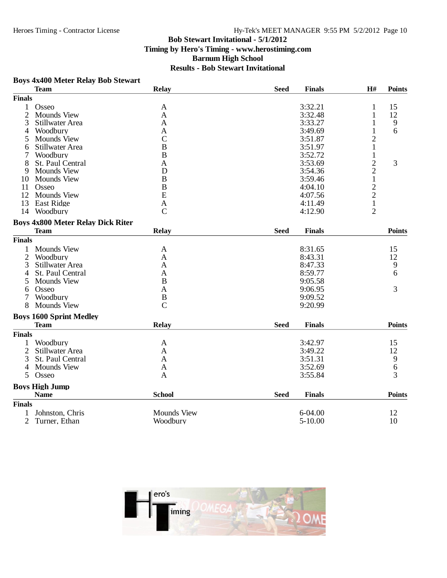# Hy-Tek's MEET MANAGER 9:55 PM 5/2/2012 Page 10

### **Bob Stewart Invitational - 5/1/2012 Timing by Hero's Timing - www.herostiming.com Barnum High School Results - Bob Stewart Invitational**

#### **Boys 4x400 Meter Relay Bob Stewart**

| <b>Finals</b><br>3:32.21<br>$\mathbf{1}$<br>Osseo<br>15<br>A<br>1<br>$\mathbf{2}$<br>12<br><b>Mounds View</b><br>3:32.48<br>A<br>1<br>3<br>$\begin{array}{c} 9 \\ 6 \end{array}$<br>Stillwater Area<br>3:33.27<br>$\mathbf{1}$<br>A<br>$\mathbf{1}$<br>Woodbury<br>3:49.69<br>4<br>A<br>$\overline{c}$<br>$\overline{C}$<br><b>Mounds View</b><br>3:51.87<br>5<br>$\mathbf{1}$<br>$\overline{B}$<br>Stillwater Area<br>3:51.97<br>6<br>$\,1$<br>$\bf{B}$<br>3:52.72<br>Woodbury<br>7<br>$\frac{2}{1}$<br>3<br>St. Paul Central<br>3:53.69<br>8<br>A<br><b>Mounds View</b><br>D<br>3:54.36<br>9<br>$\mathbf B$<br>3:59.46<br>Mounds View<br>10<br>$\frac{2}{2}$<br>$\overline{B}$<br>4:04.10<br>11<br>Osseo<br>E<br>12<br><b>Mounds View</b><br>4:07.56<br>$\mathbf 1$<br>13<br><b>East Ridge</b><br>4:11.49<br>$\mathbf{A}$<br>$\overline{2}$<br>Woodbury<br>$\mathcal{C}$<br>4:12.90<br>14<br><b>Boys 4x800 Meter Relay Dick Riter</b><br><b>Points</b><br><b>Team</b><br>Relay<br><b>Seed</b><br><b>Finals</b><br><b>Finals</b><br><b>Mounds View</b><br>8:31.65<br>15<br>1<br>A<br>$\overline{2}$<br>Woodbury<br>8:43.31<br>12<br>A<br>9<br>3<br>Stillwater Area<br>8:47.33<br>A<br>6<br>8:59.77<br>St. Paul Central<br>A<br>4<br>$\bf{B}$<br>9:05.58<br><b>Mounds View</b><br>5<br>3<br>9:06.95<br>Osseo<br>A<br>6<br>Woodbury<br>9:09.52<br>7<br>$\, {\bf B}$<br>$\overline{C}$<br><b>Mounds View</b><br>9:20.99<br>8<br><b>Boys 1600 Sprint Medley</b><br>Relay<br><b>Seed</b><br><b>Finals</b><br><b>Points</b><br><b>Team</b> | <b>Team</b> | <b>Relay</b> | <b>Seed</b> | <b>Finals</b> | H# | <b>Points</b> |
|---------------------------------------------------------------------------------------------------------------------------------------------------------------------------------------------------------------------------------------------------------------------------------------------------------------------------------------------------------------------------------------------------------------------------------------------------------------------------------------------------------------------------------------------------------------------------------------------------------------------------------------------------------------------------------------------------------------------------------------------------------------------------------------------------------------------------------------------------------------------------------------------------------------------------------------------------------------------------------------------------------------------------------------------------------------------------------------------------------------------------------------------------------------------------------------------------------------------------------------------------------------------------------------------------------------------------------------------------------------------------------------------------------------------------------------------------------------------------------------------------------------------------------------|-------------|--------------|-------------|---------------|----|---------------|
|                                                                                                                                                                                                                                                                                                                                                                                                                                                                                                                                                                                                                                                                                                                                                                                                                                                                                                                                                                                                                                                                                                                                                                                                                                                                                                                                                                                                                                                                                                                                       |             |              |             |               |    |               |
|                                                                                                                                                                                                                                                                                                                                                                                                                                                                                                                                                                                                                                                                                                                                                                                                                                                                                                                                                                                                                                                                                                                                                                                                                                                                                                                                                                                                                                                                                                                                       |             |              |             |               |    |               |
|                                                                                                                                                                                                                                                                                                                                                                                                                                                                                                                                                                                                                                                                                                                                                                                                                                                                                                                                                                                                                                                                                                                                                                                                                                                                                                                                                                                                                                                                                                                                       |             |              |             |               |    |               |
|                                                                                                                                                                                                                                                                                                                                                                                                                                                                                                                                                                                                                                                                                                                                                                                                                                                                                                                                                                                                                                                                                                                                                                                                                                                                                                                                                                                                                                                                                                                                       |             |              |             |               |    |               |
|                                                                                                                                                                                                                                                                                                                                                                                                                                                                                                                                                                                                                                                                                                                                                                                                                                                                                                                                                                                                                                                                                                                                                                                                                                                                                                                                                                                                                                                                                                                                       |             |              |             |               |    |               |
|                                                                                                                                                                                                                                                                                                                                                                                                                                                                                                                                                                                                                                                                                                                                                                                                                                                                                                                                                                                                                                                                                                                                                                                                                                                                                                                                                                                                                                                                                                                                       |             |              |             |               |    |               |
|                                                                                                                                                                                                                                                                                                                                                                                                                                                                                                                                                                                                                                                                                                                                                                                                                                                                                                                                                                                                                                                                                                                                                                                                                                                                                                                                                                                                                                                                                                                                       |             |              |             |               |    |               |
|                                                                                                                                                                                                                                                                                                                                                                                                                                                                                                                                                                                                                                                                                                                                                                                                                                                                                                                                                                                                                                                                                                                                                                                                                                                                                                                                                                                                                                                                                                                                       |             |              |             |               |    |               |
|                                                                                                                                                                                                                                                                                                                                                                                                                                                                                                                                                                                                                                                                                                                                                                                                                                                                                                                                                                                                                                                                                                                                                                                                                                                                                                                                                                                                                                                                                                                                       |             |              |             |               |    |               |
|                                                                                                                                                                                                                                                                                                                                                                                                                                                                                                                                                                                                                                                                                                                                                                                                                                                                                                                                                                                                                                                                                                                                                                                                                                                                                                                                                                                                                                                                                                                                       |             |              |             |               |    |               |
|                                                                                                                                                                                                                                                                                                                                                                                                                                                                                                                                                                                                                                                                                                                                                                                                                                                                                                                                                                                                                                                                                                                                                                                                                                                                                                                                                                                                                                                                                                                                       |             |              |             |               |    |               |
|                                                                                                                                                                                                                                                                                                                                                                                                                                                                                                                                                                                                                                                                                                                                                                                                                                                                                                                                                                                                                                                                                                                                                                                                                                                                                                                                                                                                                                                                                                                                       |             |              |             |               |    |               |
|                                                                                                                                                                                                                                                                                                                                                                                                                                                                                                                                                                                                                                                                                                                                                                                                                                                                                                                                                                                                                                                                                                                                                                                                                                                                                                                                                                                                                                                                                                                                       |             |              |             |               |    |               |
|                                                                                                                                                                                                                                                                                                                                                                                                                                                                                                                                                                                                                                                                                                                                                                                                                                                                                                                                                                                                                                                                                                                                                                                                                                                                                                                                                                                                                                                                                                                                       |             |              |             |               |    |               |
|                                                                                                                                                                                                                                                                                                                                                                                                                                                                                                                                                                                                                                                                                                                                                                                                                                                                                                                                                                                                                                                                                                                                                                                                                                                                                                                                                                                                                                                                                                                                       |             |              |             |               |    |               |
|                                                                                                                                                                                                                                                                                                                                                                                                                                                                                                                                                                                                                                                                                                                                                                                                                                                                                                                                                                                                                                                                                                                                                                                                                                                                                                                                                                                                                                                                                                                                       |             |              |             |               |    |               |
|                                                                                                                                                                                                                                                                                                                                                                                                                                                                                                                                                                                                                                                                                                                                                                                                                                                                                                                                                                                                                                                                                                                                                                                                                                                                                                                                                                                                                                                                                                                                       |             |              |             |               |    |               |
|                                                                                                                                                                                                                                                                                                                                                                                                                                                                                                                                                                                                                                                                                                                                                                                                                                                                                                                                                                                                                                                                                                                                                                                                                                                                                                                                                                                                                                                                                                                                       |             |              |             |               |    |               |
|                                                                                                                                                                                                                                                                                                                                                                                                                                                                                                                                                                                                                                                                                                                                                                                                                                                                                                                                                                                                                                                                                                                                                                                                                                                                                                                                                                                                                                                                                                                                       |             |              |             |               |    |               |
|                                                                                                                                                                                                                                                                                                                                                                                                                                                                                                                                                                                                                                                                                                                                                                                                                                                                                                                                                                                                                                                                                                                                                                                                                                                                                                                                                                                                                                                                                                                                       |             |              |             |               |    |               |
|                                                                                                                                                                                                                                                                                                                                                                                                                                                                                                                                                                                                                                                                                                                                                                                                                                                                                                                                                                                                                                                                                                                                                                                                                                                                                                                                                                                                                                                                                                                                       |             |              |             |               |    |               |
|                                                                                                                                                                                                                                                                                                                                                                                                                                                                                                                                                                                                                                                                                                                                                                                                                                                                                                                                                                                                                                                                                                                                                                                                                                                                                                                                                                                                                                                                                                                                       |             |              |             |               |    |               |
|                                                                                                                                                                                                                                                                                                                                                                                                                                                                                                                                                                                                                                                                                                                                                                                                                                                                                                                                                                                                                                                                                                                                                                                                                                                                                                                                                                                                                                                                                                                                       |             |              |             |               |    |               |
|                                                                                                                                                                                                                                                                                                                                                                                                                                                                                                                                                                                                                                                                                                                                                                                                                                                                                                                                                                                                                                                                                                                                                                                                                                                                                                                                                                                                                                                                                                                                       |             |              |             |               |    |               |
|                                                                                                                                                                                                                                                                                                                                                                                                                                                                                                                                                                                                                                                                                                                                                                                                                                                                                                                                                                                                                                                                                                                                                                                                                                                                                                                                                                                                                                                                                                                                       |             |              |             |               |    |               |
|                                                                                                                                                                                                                                                                                                                                                                                                                                                                                                                                                                                                                                                                                                                                                                                                                                                                                                                                                                                                                                                                                                                                                                                                                                                                                                                                                                                                                                                                                                                                       |             |              |             |               |    |               |
|                                                                                                                                                                                                                                                                                                                                                                                                                                                                                                                                                                                                                                                                                                                                                                                                                                                                                                                                                                                                                                                                                                                                                                                                                                                                                                                                                                                                                                                                                                                                       |             |              |             |               |    |               |
|                                                                                                                                                                                                                                                                                                                                                                                                                                                                                                                                                                                                                                                                                                                                                                                                                                                                                                                                                                                                                                                                                                                                                                                                                                                                                                                                                                                                                                                                                                                                       |             |              |             |               |    |               |
|                                                                                                                                                                                                                                                                                                                                                                                                                                                                                                                                                                                                                                                                                                                                                                                                                                                                                                                                                                                                                                                                                                                                                                                                                                                                                                                                                                                                                                                                                                                                       |             |              |             |               |    |               |
| <b>Finals</b>                                                                                                                                                                                                                                                                                                                                                                                                                                                                                                                                                                                                                                                                                                                                                                                                                                                                                                                                                                                                                                                                                                                                                                                                                                                                                                                                                                                                                                                                                                                         |             |              |             |               |    |               |
| Woodbury<br>3:42.97<br>1<br>15<br>A                                                                                                                                                                                                                                                                                                                                                                                                                                                                                                                                                                                                                                                                                                                                                                                                                                                                                                                                                                                                                                                                                                                                                                                                                                                                                                                                                                                                                                                                                                   |             |              |             |               |    |               |
| 12<br>2<br>Stillwater Area<br>3:49.22<br>A                                                                                                                                                                                                                                                                                                                                                                                                                                                                                                                                                                                                                                                                                                                                                                                                                                                                                                                                                                                                                                                                                                                                                                                                                                                                                                                                                                                                                                                                                            |             |              |             |               |    |               |
| 9<br>3<br>3:51.31<br>St. Paul Central<br>$\mathbf{A}$                                                                                                                                                                                                                                                                                                                                                                                                                                                                                                                                                                                                                                                                                                                                                                                                                                                                                                                                                                                                                                                                                                                                                                                                                                                                                                                                                                                                                                                                                 |             |              |             |               |    |               |
| $rac{6}{3}$<br>3:52.69<br><b>Mounds View</b><br>$\overline{4}$<br>$\mathbf{A}$                                                                                                                                                                                                                                                                                                                                                                                                                                                                                                                                                                                                                                                                                                                                                                                                                                                                                                                                                                                                                                                                                                                                                                                                                                                                                                                                                                                                                                                        |             |              |             |               |    |               |
| 3:55.84<br>5<br>Osseo<br>$\mathbf{A}$                                                                                                                                                                                                                                                                                                                                                                                                                                                                                                                                                                                                                                                                                                                                                                                                                                                                                                                                                                                                                                                                                                                                                                                                                                                                                                                                                                                                                                                                                                 |             |              |             |               |    |               |
| <b>Boys High Jump</b>                                                                                                                                                                                                                                                                                                                                                                                                                                                                                                                                                                                                                                                                                                                                                                                                                                                                                                                                                                                                                                                                                                                                                                                                                                                                                                                                                                                                                                                                                                                 |             |              |             |               |    |               |
| <b>School</b><br><b>Name</b><br><b>Seed</b><br><b>Finals</b>                                                                                                                                                                                                                                                                                                                                                                                                                                                                                                                                                                                                                                                                                                                                                                                                                                                                                                                                                                                                                                                                                                                                                                                                                                                                                                                                                                                                                                                                          |             |              |             |               |    | <b>Points</b> |
| <b>Finals</b>                                                                                                                                                                                                                                                                                                                                                                                                                                                                                                                                                                                                                                                                                                                                                                                                                                                                                                                                                                                                                                                                                                                                                                                                                                                                                                                                                                                                                                                                                                                         |             |              |             |               |    |               |
| 6-04.00<br>Johnston, Chris<br><b>Mounds View</b><br>12                                                                                                                                                                                                                                                                                                                                                                                                                                                                                                                                                                                                                                                                                                                                                                                                                                                                                                                                                                                                                                                                                                                                                                                                                                                                                                                                                                                                                                                                                |             |              |             |               |    |               |
| $\overline{2}$<br>5-10.00<br>10<br>Turner, Ethan<br>Woodbury                                                                                                                                                                                                                                                                                                                                                                                                                                                                                                                                                                                                                                                                                                                                                                                                                                                                                                                                                                                                                                                                                                                                                                                                                                                                                                                                                                                                                                                                          |             |              |             |               |    |               |

![](_page_9_Picture_5.jpeg)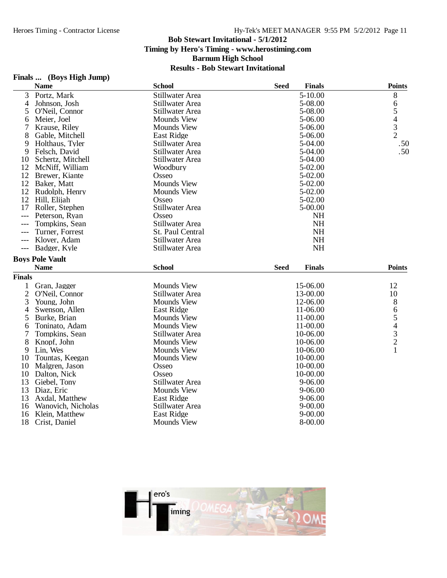## **Finals ... (Boys High Jump)**

|                | <b>Name</b>            | <b>School</b>          | <b>Seed</b> | <b>Finals</b> | <b>Points</b>                              |
|----------------|------------------------|------------------------|-------------|---------------|--------------------------------------------|
| 3              | Portz, Mark            | Stillwater Area        |             | $5 - 10.00$   | 8                                          |
| 4              | Johnson, Josh          | Stillwater Area        |             | 5-08.00       | 6                                          |
| 5              | O'Neil, Connor         | Stillwater Area        |             | 5-08.00       | 5                                          |
| 6              | Meier, Joel            | <b>Mounds View</b>     |             | 5-06.00       |                                            |
| 7              | Krause, Riley          | <b>Mounds View</b>     |             | 5-06.00       | $\begin{array}{c} 4 \\ 3 \\ 2 \end{array}$ |
| 8              | Gable, Mitchell        | <b>East Ridge</b>      |             | 5-06.00       |                                            |
| 9              | Holthaus, Tyler        | Stillwater Area        |             | 5-04.00       | .50                                        |
| 9              | Felsch, David          | Stillwater Area        |             | 5-04.00       | .50                                        |
| 10             | Schertz, Mitchell      | Stillwater Area        |             | 5-04.00       |                                            |
| 12             | McNiff, William        | Woodbury               |             | $5 - 02.00$   |                                            |
| 12             | Brewer, Kiante         | Osseo                  |             | $5 - 02.00$   |                                            |
|                | 12 Baker, Matt         | <b>Mounds View</b>     |             | 5-02.00       |                                            |
| 12             | Rudolph, Henry         | <b>Mounds View</b>     |             | 5-02.00       |                                            |
| 12             | Hill, Elijah           | Osseo                  |             | $5-02.00$     |                                            |
| 17             | Roller, Stephen        | Stillwater Area        |             | $5 - 00.00$   |                                            |
| $---$          | Peterson, Ryan         | Osseo                  |             | <b>NH</b>     |                                            |
| $---$          | Tompkins, Sean         | Stillwater Area        |             | <b>NH</b>     |                                            |
| $---$          | Turner, Forrest        | St. Paul Central       |             | <b>NH</b>     |                                            |
| ---            | Klover, Adam           | Stillwater Area        |             | <b>NH</b>     |                                            |
| $---$          | Badger, Kyle           | Stillwater Area        |             | <b>NH</b>     |                                            |
|                | <b>Boys Pole Vault</b> |                        |             |               |                                            |
|                | <b>Name</b>            | <b>School</b>          | <b>Seed</b> | <b>Finals</b> | <b>Points</b>                              |
| <b>Finals</b>  |                        |                        |             |               |                                            |
| 1              | Gran, Jagger           | <b>Mounds View</b>     |             | 15-06.00      | 12                                         |
| $\overline{2}$ | O'Neil, Connor         | Stillwater Area        |             | 13-00.00      | 10                                         |
| 3              | Young, John            | <b>Mounds View</b>     |             | 12-06.00      | 8                                          |
| 4              | Swenson, Allen         | <b>East Ridge</b>      |             | 11-06.00      |                                            |
| 5              | Burke, Brian           | <b>Mounds View</b>     |             | 11-00.00      | 6                                          |
| 6              | Toninato, Adam         | <b>Mounds View</b>     |             | 11-00.00      | 54321                                      |
| 7              | Tompkins, Sean         | Stillwater Area        |             | 10-06.00      |                                            |
| 8              | Knopf, John            | <b>Mounds View</b>     |             | 10-06.00      |                                            |
| 9              | Lin, Wes               | <b>Mounds View</b>     |             | 10-06.00      |                                            |
| 10             | Tountas, Keegan        | <b>Mounds View</b>     |             | 10-00.00      |                                            |
| 10             | Malgren, Jason         | Osseo                  |             | 10-00.00      |                                            |
| 10             | Dalton, Nick           | Osseo                  |             | 10-00.00      |                                            |
| 13             | Giebel, Tony           | Stillwater Area        |             | $9 - 06.00$   |                                            |
| 13             | Diaz, Eric             | <b>Mounds View</b>     |             | $9 - 06.00$   |                                            |
| 13             | Axdal, Matthew         | <b>East Ridge</b>      |             | $9 - 06.00$   |                                            |
| 16             | Wanovich, Nicholas     | <b>Stillwater Area</b> |             | $9 - 00.00$   |                                            |
| 16             | Klein, Matthew         | East Ridge             |             | $9 - 00.00$   |                                            |
| 18             | Crist, Daniel          | <b>Mounds View</b>     |             | 8-00.00       |                                            |
|                |                        |                        |             |               |                                            |

![](_page_10_Picture_5.jpeg)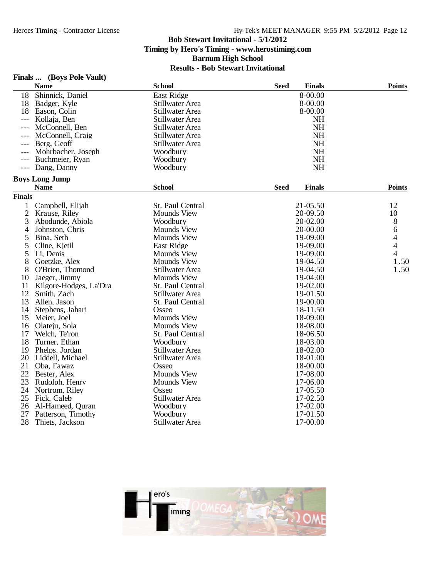## **Finals ... (Boys Pole Vault)**

|                | <b>Name</b>            | <b>School</b>      | <b>Seed</b><br><b>Finals</b> | <b>Points</b>  |
|----------------|------------------------|--------------------|------------------------------|----------------|
| 18             | Shinnick, Daniel       | <b>East Ridge</b>  | 8-00.00                      |                |
| 18             | Badger, Kyle           | Stillwater Area    | 8-00.00                      |                |
| 18             | Eason, Colin           | Stillwater Area    | 8-00.00                      |                |
|                | Kollaja, Ben           | Stillwater Area    | <b>NH</b>                    |                |
| $---$          | McConnell, Ben         | Stillwater Area    | <b>NH</b>                    |                |
| $---$          | McConnell, Craig       | Stillwater Area    | <b>NH</b>                    |                |
| ---            | Berg, Geoff            | Stillwater Area    | <b>NH</b>                    |                |
|                | Mohrbacher, Joseph     | Woodbury           | <b>NH</b>                    |                |
| ---            | Buchmeier, Ryan        | Woodbury           | <b>NH</b>                    |                |
| $---$          | Dang, Danny            | Woodbury           | <b>NH</b>                    |                |
|                | <b>Boys Long Jump</b>  |                    |                              |                |
|                | <b>Name</b>            | <b>School</b>      | <b>Seed</b><br><b>Finals</b> | <b>Points</b>  |
| <b>Finals</b>  |                        |                    |                              |                |
| 1              | Campbell, Elijah       | St. Paul Central   | 21-05.50                     | 12             |
| $\overline{2}$ | Krause, Riley          | <b>Mounds View</b> | 20-09.50                     | 10             |
| 3              | Abodunde, Abiola       | Woodbury           | 20-02.00                     | 8              |
| 4              | Johnston, Chris        | <b>Mounds View</b> | 20-00.00                     | 6              |
| 5              | Bina, Seth             | <b>Mounds View</b> | 19-09.00                     | 4              |
| 5              | Cline, Kjetil          | <b>East Ridge</b>  | 19-09.00                     | $\overline{4}$ |
| 5              | Li, Denis              | <b>Mounds View</b> | 19-09.00                     | 4              |
| 8              | Goetzke, Alex          | <b>Mounds View</b> | 19-04.50                     | 1.50           |
| 8              | O'Brien, Thomond       | Stillwater Area    | 19-04.50                     | 1.50           |
| 10             | Jaeger, Jimmy          | Mounds View        | 19-04.00                     |                |
| 11             | Kilgore-Hodges, La'Dra | St. Paul Central   | 19-02.00                     |                |
| 12             | Smith, Zach            | Stillwater Area    | 19-01.50                     |                |
| 13             | Allen, Jason           | St. Paul Central   | 19-00.00                     |                |
| 14             | Stephens, Jahari       | Osseo              | 18-11.50                     |                |
| 15             | Meier, Joel            | Mounds View        | 18-09.00                     |                |
| 16             | Olateju, Sola          | <b>Mounds View</b> | 18-08.00                     |                |
| 17             | Welch, Te'ron          | St. Paul Central   | 18-06.50                     |                |
| 18             | Turner, Ethan          | Woodbury           | 18-03.00                     |                |
| 19             | Phelps, Jordan         | Stillwater Area    | 18-02.00                     |                |
| 20             | Liddell, Michael       | Stillwater Area    | 18-01.00                     |                |
| 21             | Oba, Fawaz             | Osseo              | 18-00.00                     |                |
| 22             | Bester, Alex           | <b>Mounds View</b> | 17-08.00                     |                |
| 23             | Rudolph, Henry         | <b>Mounds View</b> | 17-06.00                     |                |
| 24             | Nortrom, Riley         | Osseo              | 17-05.50                     |                |
| 25             | Fick, Caleb            | Stillwater Area    | 17-02.50                     |                |
| 26             | Al-Hameed, Quran       | Woodbury           | 17-02.00                     |                |
| 27             | Patterson, Timothy     | Woodbury           | 17-01.50                     |                |
| 28             | Thiets, Jackson        | Stillwater Area    | 17-00.00                     |                |

![](_page_11_Picture_5.jpeg)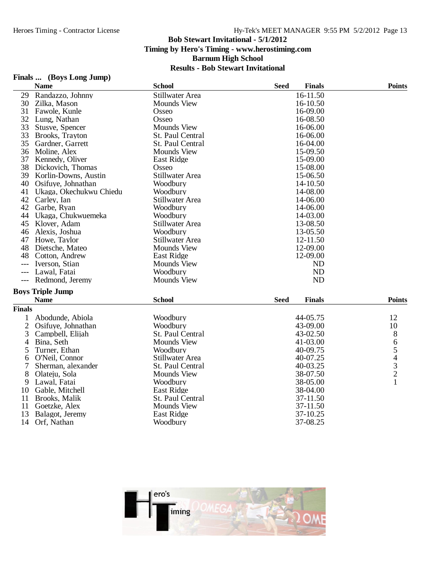## **Finals ... (Boys Long Jump)**

|               | <b>Name</b>             | <b>School</b>      | <b>Seed</b><br><b>Finals</b> | <b>Points</b> |
|---------------|-------------------------|--------------------|------------------------------|---------------|
| 29            | Randazzo, Johnny        | Stillwater Area    | 16-11.50                     |               |
| 30            | Zilka, Mason            | <b>Mounds View</b> | 16-10.50                     |               |
| 31            | Fawole, Kunle           | Osseo              | 16-09.00                     |               |
| 32            | Lung, Nathan            | Osseo              | 16-08.50                     |               |
| 33            | Stusve, Spencer         | <b>Mounds View</b> | 16-06.00                     |               |
| 33            | Brooks, Trayton         | St. Paul Central   | 16-06.00                     |               |
| 35            | Gardner, Garrett        | St. Paul Central   | 16-04.00                     |               |
| 36            | Moline, Alex            | <b>Mounds View</b> | 15-09.50                     |               |
| 37            | Kennedy, Oliver         | East Ridge         | 15-09.00                     |               |
| 38            | Dickovich, Thomas       | Osseo              | 15-08.00                     |               |
| 39            | Korlin-Downs, Austin    | Stillwater Area    | 15-06.50                     |               |
| 40            | Osifuye, Johnathan      | Woodbury           | 14-10.50                     |               |
| 41            | Ukaga, Okechukwu Chiedu | Woodbury           | 14-08.00                     |               |
| 42            | Carley, Ian             | Stillwater Area    | 14-06.00                     |               |
| 42            | Garbe, Ryan             | Woodbury           | 14-06.00                     |               |
| 44            | Ukaga, Chukwuemeka      | Woodbury           | 14-03.00                     |               |
| 45            | Klover, Adam            | Stillwater Area    | 13-08.50                     |               |
| 46            | Alexis, Joshua          | Woodbury           | 13-05.50                     |               |
| 47            | Howe, Taylor            | Stillwater Area    | 12-11.50                     |               |
| 48            | Dietsche, Mateo         | <b>Mounds View</b> | 12-09.00                     |               |
| 48            | Cotton, Andrew          | East Ridge         | 12-09.00                     |               |
| $---$         | Iverson, Stian          | <b>Mounds View</b> | ND                           |               |
| $---$         | Lawal, Fatai            | Woodbury           | <b>ND</b>                    |               |
| $---$         | Redmond, Jeremy         | <b>Mounds View</b> | <b>ND</b>                    |               |
|               | <b>Boys Triple Jump</b> |                    |                              |               |
|               | <b>Name</b>             | <b>School</b>      | <b>Seed</b><br><b>Finals</b> | <b>Points</b> |
| <b>Finals</b> |                         |                    |                              |               |
| 1             | Abodunde, Abiola        | Woodbury           | 44-05.75                     | 12            |
| $\mathbf{2}$  | Osifuye, Johnathan      | Woodbury           | 43-09.00                     | 10            |
| 3             | Campbell, Elijah        | St. Paul Central   | 43-02.50                     | 8             |
| 4             | Bina, Seth              | <b>Mounds View</b> | 41-03.00                     |               |
| 5             | Turner, Ethan           | Woodbury           | 40-09.75                     | 654321        |
| 6             | O'Neil, Connor          | Stillwater Area    | 40-07.25                     |               |
| 7             | Sherman, alexander      | St. Paul Central   | 40-03.25                     |               |
| 8             | Olateju, Sola           | <b>Mounds View</b> | 38-07.50                     |               |
| 9             | Lawal, Fatai            | Woodbury           | 38-05.00                     |               |
| 10            | Gable, Mitchell         | East Ridge         | 38-04.00                     |               |
| 11            | Brooks, Malik           | St. Paul Central   | 37-11.50                     |               |
| 11            | Goetzke, Alex           | <b>Mounds View</b> | 37-11.50                     |               |
| 13            | Balagot, Jeremy         | East Ridge         | 37-10.25                     |               |
| 14            | Orf, Nathan             | Woodbury           | 37-08.25                     |               |

![](_page_12_Picture_5.jpeg)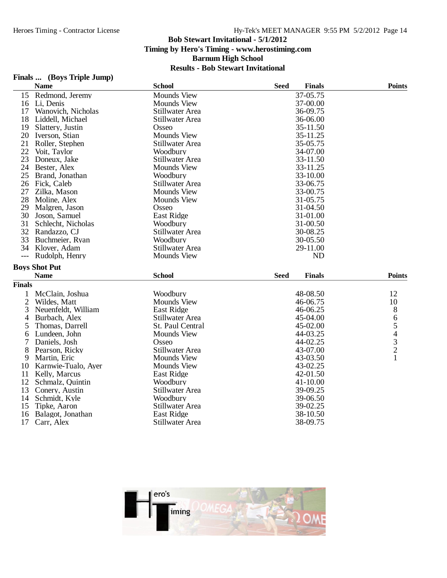# **Finals ... (Boys Triple Jump)**

|                     | <b>Name</b>                     | <b>School</b>                 | <b>Seed</b> | <b>Finals</b>        | <b>Points</b> |
|---------------------|---------------------------------|-------------------------------|-------------|----------------------|---------------|
| 15                  | Redmond, Jeremy                 | <b>Mounds View</b>            |             | 37-05.75             |               |
| 16                  | Li, Denis                       | <b>Mounds View</b>            |             | 37-00.00             |               |
| 17                  | Wanovich, Nicholas              | Stillwater Area               |             | 36-09.75             |               |
| 18                  | Liddell, Michael                | Stillwater Area               |             | 36-06.00             |               |
| 19                  | Slattery, Justin                | Osseo                         |             | 35-11.50             |               |
| 20                  | Iverson, Stian                  | <b>Mounds View</b>            |             | 35-11.25             |               |
| 21                  | Roller, Stephen                 | <b>Stillwater Area</b>        |             | 35-05.75             |               |
| 22                  | Voit, Taylor                    | Woodbury                      |             | 34-07.00             |               |
| 23                  | Doneux, Jake                    | Stillwater Area               |             | 33-11.50             |               |
| 24                  | Bester, Alex                    | <b>Mounds View</b>            |             | 33-11.25             |               |
| 25                  | Brand, Jonathan                 | Woodbury                      |             | 33-10.00             |               |
| 26                  | Fick, Caleb                     | Stillwater Area               |             | 33-06.75             |               |
| 27                  | Zilka, Mason                    | <b>Mounds View</b>            |             | 33-00.75             |               |
| 28                  | Moline, Alex                    | <b>Mounds View</b>            |             | 31-05.75             |               |
| 29                  | Malgren, Jason                  | Osseo                         |             | 31-04.50             |               |
| 30                  | Joson, Samuel                   | East Ridge                    |             | 31-01.00             |               |
| 31                  | Schlecht, Nicholas              | Woodbury                      |             | 31-00.50             |               |
| 32                  | Randazzo, CJ                    | <b>Stillwater Area</b>        |             | 30-08.25             |               |
| 33                  | Buchmeier, Ryan                 | Woodbury                      |             | 30-05.50             |               |
| 34                  | Klover, Adam                    | <b>Stillwater Area</b>        |             | 29-11.00             |               |
| $\qquad \qquad - -$ | Rudolph, Henry                  | <b>Mounds View</b>            |             | <b>ND</b>            |               |
|                     |                                 |                               |             |                      |               |
|                     |                                 |                               |             |                      |               |
|                     | <b>Boys Shot Put</b>            |                               |             |                      |               |
|                     | <b>Name</b>                     | <b>School</b>                 | <b>Seed</b> | <b>Finals</b>        | <b>Points</b> |
| <b>Finals</b>       |                                 |                               |             |                      |               |
| 1                   | McClain, Joshua                 | Woodbury                      |             | 48-08.50             | 12            |
| $\mathfrak{2}$      | Wildes, Matt                    | <b>Mounds View</b>            |             | 46-06.75             | 10            |
| 3                   | Neuenfeldt, William             | <b>East Ridge</b>             |             | 46-06.25             | 8             |
| 4                   | Burbach, Alex                   | Stillwater Area               |             | 45-04.00             |               |
| 5                   | Thomas, Darrell                 | St. Paul Central              |             | 45-02.00             |               |
| 6                   | Lundeen, John                   | <b>Mounds View</b>            |             | 44-03.25             |               |
| 7                   | Daniels, Josh                   | Osseo                         |             | 44-02.25             |               |
| 8                   | Pearson, Ricky                  | Stillwater Area               |             | 43-07.00             | 65432         |
| 9                   | Martin, Eric                    | <b>Mounds View</b>            |             | 43-03.50             | $\mathbf{1}$  |
| 10                  | Karnwie-Tualo, Ayer             | <b>Mounds View</b>            |             | 43-02.25             |               |
| 11                  | Kelly, Marcus                   | East Ridge                    |             | 42-01.50             |               |
| 12                  | Schmalz, Quintin                | Woodbury                      |             | 41-10.00             |               |
| 13                  | Conery, Austin                  | Stillwater Area               |             | 39-09.25             |               |
| 14                  | Schmidt, Kyle                   | Woodbury                      |             | 39-06.50             |               |
| 15                  | Tipke, Aaron                    | Stillwater Area               |             | 39-02.25             |               |
| 16<br>17            | Balagot, Jonathan<br>Carr, Alex | East Ridge<br>Stillwater Area |             | 38-10.50<br>38-09.75 |               |

![](_page_13_Picture_5.jpeg)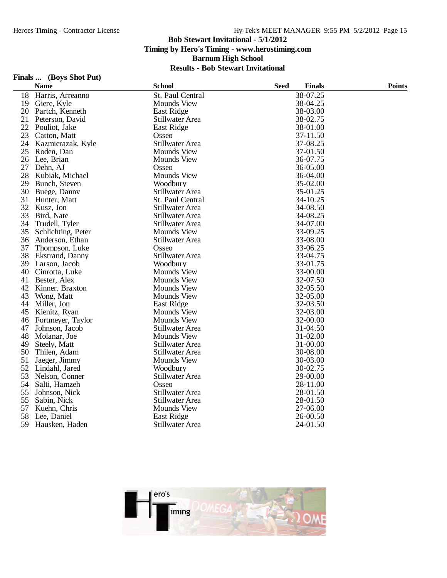### **Finals ... (Boys Shot Put)**

|    | <b>Name</b>        | <b>School</b>      | <b>Seed</b> | <b>Finals</b> | <b>Points</b> |
|----|--------------------|--------------------|-------------|---------------|---------------|
| 18 | Harris, Arreanno   | St. Paul Central   |             | 38-07.25      |               |
| 19 | Giere, Kyle        | <b>Mounds View</b> |             | 38-04.25      |               |
| 20 | Partch, Kenneth    | <b>East Ridge</b>  |             | 38-03.00      |               |
| 21 | Peterson, David    | Stillwater Area    |             | 38-02.75      |               |
| 22 | Pouliot, Jake      | East Ridge         |             | 38-01.00      |               |
| 23 | Catton, Matt       | Osseo              |             | 37-11.50      |               |
| 24 | Kazmierazak, Kyle  | Stillwater Area    |             | 37-08.25      |               |
| 25 | Roden, Dan         | <b>Mounds View</b> |             | 37-01.50      |               |
| 26 | Lee, Brian         | <b>Mounds View</b> |             | 36-07.75      |               |
| 27 | Dehn, AJ           | Osseo              |             | 36-05.00      |               |
| 28 | Kubiak, Michael    | <b>Mounds View</b> |             | 36-04.00      |               |
| 29 | Bunch, Steven      | Woodbury           |             | 35-02.00      |               |
| 30 | Buege, Danny       | Stillwater Area    |             | 35-01.25      |               |
| 31 | Hunter, Matt       | St. Paul Central   |             | 34-10.25      |               |
| 32 | Kusz, Jon          | Stillwater Area    |             | 34-08.50      |               |
| 33 | Bird, Nate         | Stillwater Area    |             | 34-08.25      |               |
| 34 | Trudell, Tyler     | Stillwater Area    |             | 34-07.00      |               |
| 35 | Schlichting, Peter | <b>Mounds View</b> |             | 33-09.25      |               |
| 36 | Anderson, Ethan    | Stillwater Area    |             | 33-08.00      |               |
| 37 | Thompson, Luke     | Osseo              |             | 33-06.25      |               |
| 38 | Ekstrand, Danny    | Stillwater Area    |             | 33-04.75      |               |
| 39 | Larson, Jacob      | Woodbury           |             | 33-01.75      |               |
| 40 | Cinrotta, Luke     | <b>Mounds View</b> |             | 33-00.00      |               |
| 41 | Bester, Alex       | <b>Mounds View</b> |             | 32-07.50      |               |
| 42 | Kinner, Braxton    | <b>Mounds View</b> |             | 32-05.50      |               |
| 43 | Wong, Matt         | <b>Mounds View</b> |             | 32-05.00      |               |
| 44 | Miller, Jon        | East Ridge         |             | 32-03.50      |               |
| 45 | Kienitz, Ryan      | <b>Mounds View</b> |             | 32-03.00      |               |
| 46 | Fortmeyer, Taylor  | <b>Mounds View</b> |             | 32-00.00      |               |
| 47 | Johnson, Jacob     | Stillwater Area    |             | 31-04.50      |               |
| 48 | Molanar, Joe       | <b>Mounds View</b> |             | 31-02.00      |               |
| 49 | Steely, Matt       | Stillwater Area    |             | 31-00.00      |               |
| 50 | Thilen, Adam       | Stillwater Area    |             | 30-08.00      |               |
| 51 | Jaeger, Jimmy      | <b>Mounds View</b> |             | 30-03.00      |               |
| 52 | Lindahl, Jared     | Woodbury           |             | 30-02.75      |               |
| 53 | Nelson, Conner     | Stillwater Area    |             | 29-00.00      |               |
| 54 | Salti, Hamzeh      | Osseo              |             | 28-11.00      |               |
| 55 | Johnson, Nick      | Stillwater Area    |             | 28-01.50      |               |
| 55 | Sabin, Nick        | Stillwater Area    |             | 28-01.50      |               |
| 57 | Kuehn, Chris       | <b>Mounds View</b> |             | 27-06.00      |               |
| 58 | Lee, Daniel        | East Ridge         |             | 26-00.50      |               |
| 59 | Hausken, Haden     | Stillwater Area    |             | 24-01.50      |               |

![](_page_14_Picture_5.jpeg)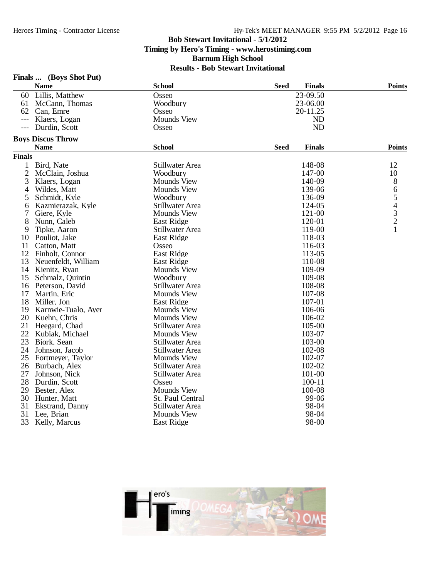# **Finals ... (Boys Shot Put)**

|                | <b>Name</b>              | <b>School</b>      | <b>Seed</b> | <b>Finals</b> | <b>Points</b>                              |
|----------------|--------------------------|--------------------|-------------|---------------|--------------------------------------------|
| 60             | Lillis, Matthew          | Osseo              |             | 23-09.50      |                                            |
| 61             | McCann, Thomas           | Woodbury           |             | 23-06.00      |                                            |
| 62             | Can, Emre                | Osseo              |             | 20-11.25      |                                            |
| $---$          | Klaers, Logan            | <b>Mounds View</b> |             | <b>ND</b>     |                                            |
| $---$          | Durdin, Scott            | Osseo              |             | <b>ND</b>     |                                            |
|                | <b>Boys Discus Throw</b> |                    |             |               |                                            |
|                | <b>Name</b>              | <b>School</b>      | <b>Seed</b> | <b>Finals</b> | <b>Points</b>                              |
| <b>Finals</b>  |                          |                    |             |               |                                            |
| 1              | Bird, Nate               | Stillwater Area    |             | 148-08        | 12                                         |
| $\overline{c}$ | McClain, Joshua          | Woodbury           |             | 147-00        | 10                                         |
| 3              | Klaers, Logan            | <b>Mounds View</b> |             | 140-09        | 8                                          |
| 4              | Wildes, Matt             | <b>Mounds View</b> |             | 139-06        | 6                                          |
| 5              | Schmidt, Kyle            | Woodbury           |             | 136-09        | 5                                          |
| 6              | Kazmierazak, Kyle        | Stillwater Area    |             | 124-05        |                                            |
| 7              | Giere, Kyle              | <b>Mounds View</b> |             | 121-00        | $\begin{array}{c} 4 \\ 3 \\ 2 \end{array}$ |
| 8              | Nunn, Caleb              | East Ridge         |             | 120-01        |                                            |
| 9              | Tipke, Aaron             | Stillwater Area    |             | 119-00        |                                            |
| 10             | Pouliot, Jake            | East Ridge         |             | 118-03        |                                            |
| 11             | Catton, Matt             | Osseo              |             | 116-03        |                                            |
| 12             | Finholt, Connor          | East Ridge         |             | 113-05        |                                            |
| 13             | Neuenfeldt, William      | <b>East Ridge</b>  |             | 110-08        |                                            |
|                | 14 Kienitz, Ryan         | <b>Mounds View</b> |             | 109-09        |                                            |
| 15             | Schmalz, Quintin         | Woodbury           |             | 109-08        |                                            |
| 16             | Peterson, David          | Stillwater Area    |             | 108-08        |                                            |
| 17             | Martin, Eric             | <b>Mounds View</b> |             | 107-08        |                                            |
| 18             | Miller, Jon              | East Ridge         |             | 107-01        |                                            |
| 19             | Karnwie-Tualo, Ayer      | <b>Mounds View</b> |             | 106-06        |                                            |
| 20             | Kuehn, Chris             | <b>Mounds View</b> |             | 106-02        |                                            |
| 21             | Heegard, Chad            | Stillwater Area    |             | 105-00        |                                            |
| 22             | Kubiak, Michael          | <b>Mounds View</b> |             | 103-07        |                                            |
| 23             | Bjork, Sean              | Stillwater Area    |             | 103-00        |                                            |
| 24             | Johnson, Jacob           | Stillwater Area    |             | 102-08        |                                            |
| 25             | Fortmeyer, Taylor        | <b>Mounds View</b> |             | 102-07        |                                            |
| 26             | Burbach, Alex            | Stillwater Area    |             | 102-02        |                                            |
| 27             | Johnson, Nick            | Stillwater Area    |             | 101-00        |                                            |
| 28             | Durdin, Scott            | Osseo              |             | $100 - 11$    |                                            |
| 29             | Bester, Alex             | <b>Mounds View</b> |             | 100-08        |                                            |
| 30             | Hunter, Matt             | St. Paul Central   |             | 99-06         |                                            |
| 31             | Ekstrand, Danny          | Stillwater Area    |             | 98-04         |                                            |
| 31             | Lee, Brian               | <b>Mounds View</b> |             | 98-04         |                                            |
| 33             | Kelly, Marcus            | East Ridge         |             | 98-00         |                                            |

![](_page_15_Picture_5.jpeg)